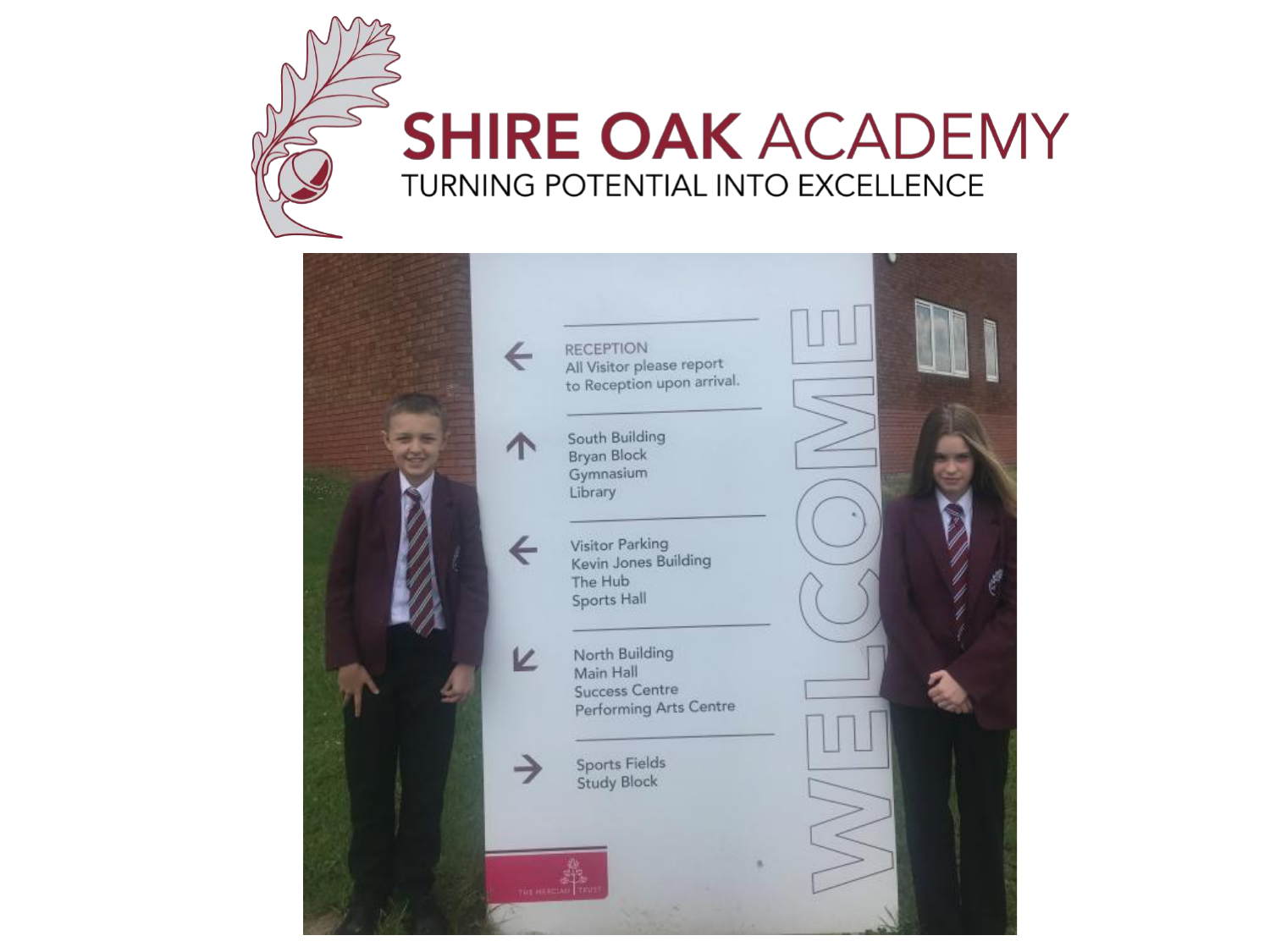

#### **SHIRE OAK ACADEMY** TURNING POTENTIAL INTO EXCELLENCE

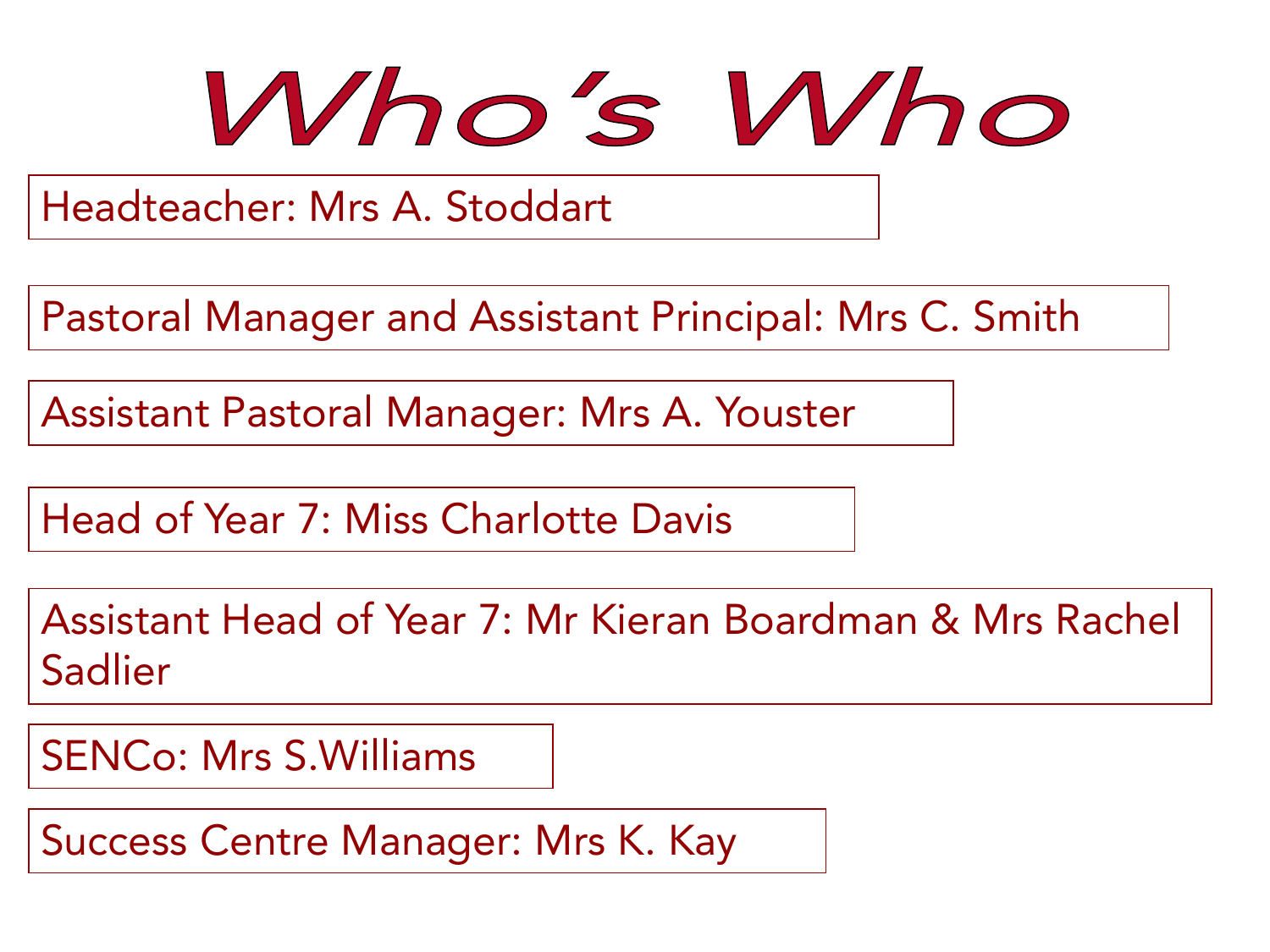

Headteacher: Mrs A. Stoddart

Pastoral Manager and Assistant Principal: Mrs C. Smith

Assistant Pastoral Manager: Mrs A. Youster

Head of Year 7: Miss Charlotte Davis

Assistant Head of Year 7: Mr Kieran Boardman & Mrs Rachel Sadlier

SENCo: Mrs S.Williams

Success Centre Manager: Mrs K. Kay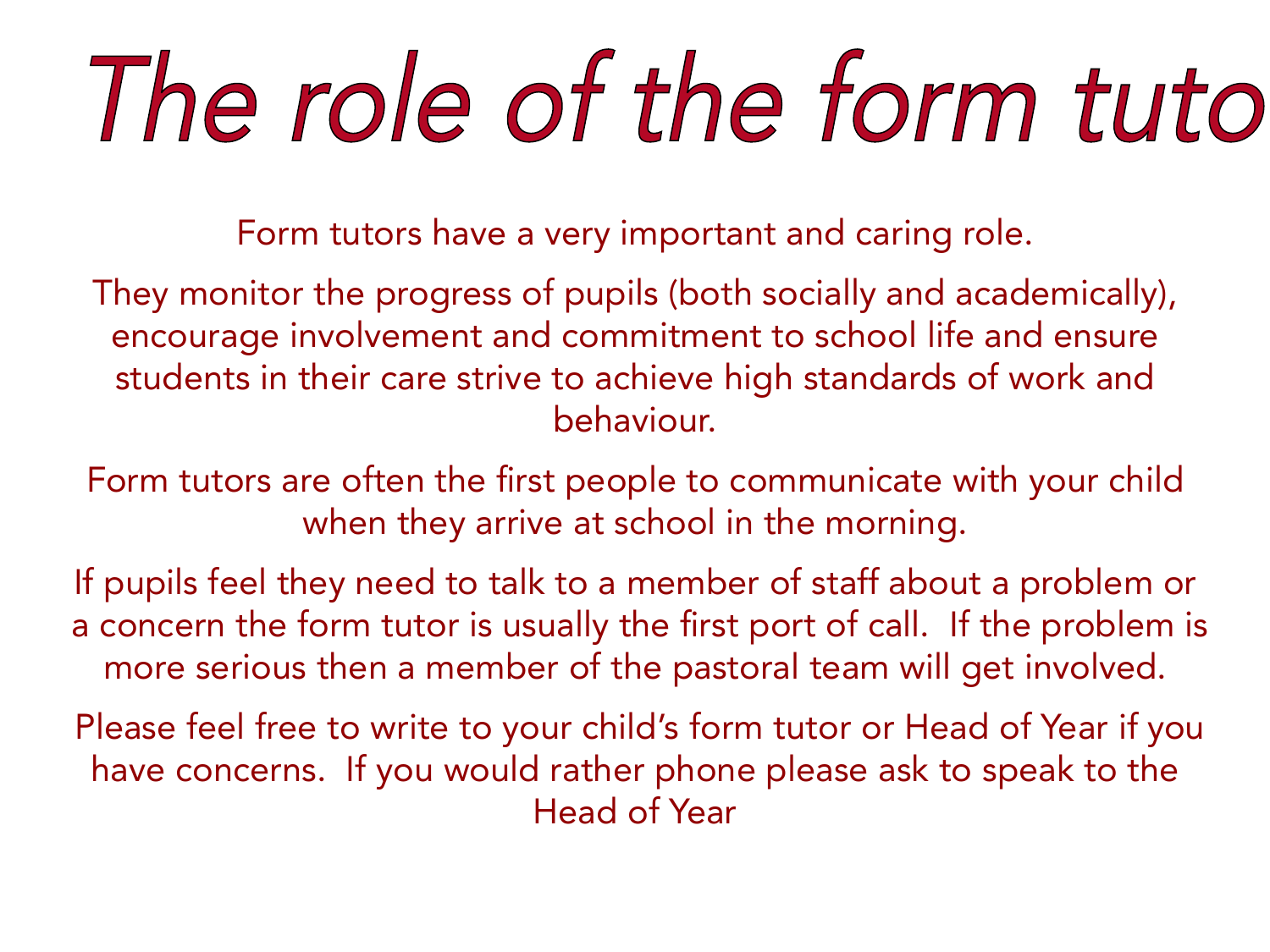# The role of the form tuto

Form tutors have a very important and caring role.

They monitor the progress of pupils (both socially and academically), encourage involvement and commitment to school life and ensure students in their care strive to achieve high standards of work and behaviour.

Form tutors are often the first people to communicate with your child when they arrive at school in the morning.

If pupils feel they need to talk to a member of staff about a problem or a concern the form tutor is usually the first port of call. If the problem is more serious then a member of the pastoral team will get involved.

Please feel free to write to your child's form tutor or Head of Year if you have concerns. If you would rather phone please ask to speak to the Head of Year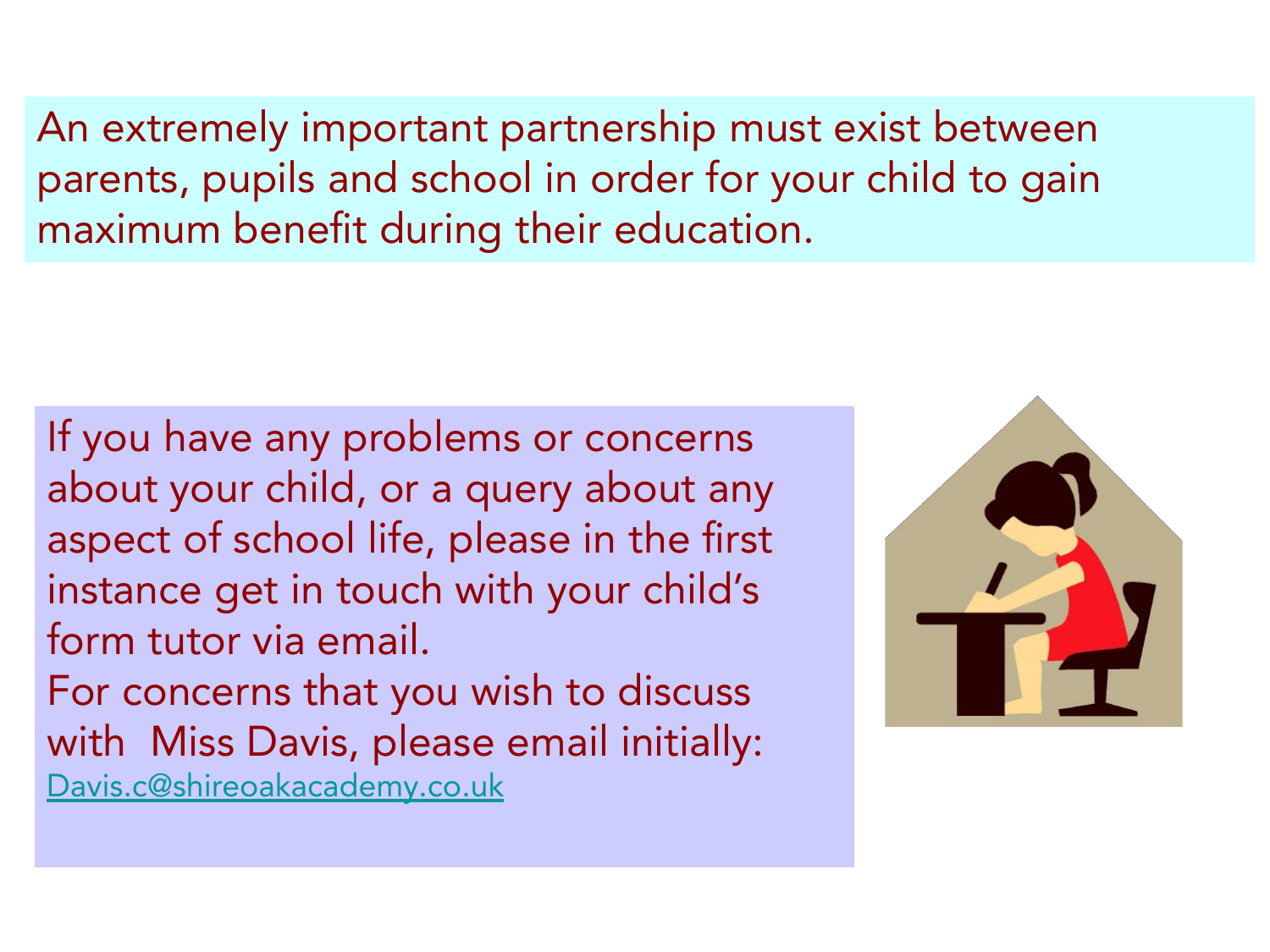An extremely important partnership must exist between parents, pupils and school in order for your child to gain maximum benefit during their education.

If you have any problems or concerns about your child, or a query about any aspect of school life, please in the first instance get in touch with your child's form tutor via email. For concerns that you wish to discuss with Miss Davis, please email initially: [Davis.c@shireoakacademy.co.uk](mailto:Davis.c@shireoakacademy.co.uk)

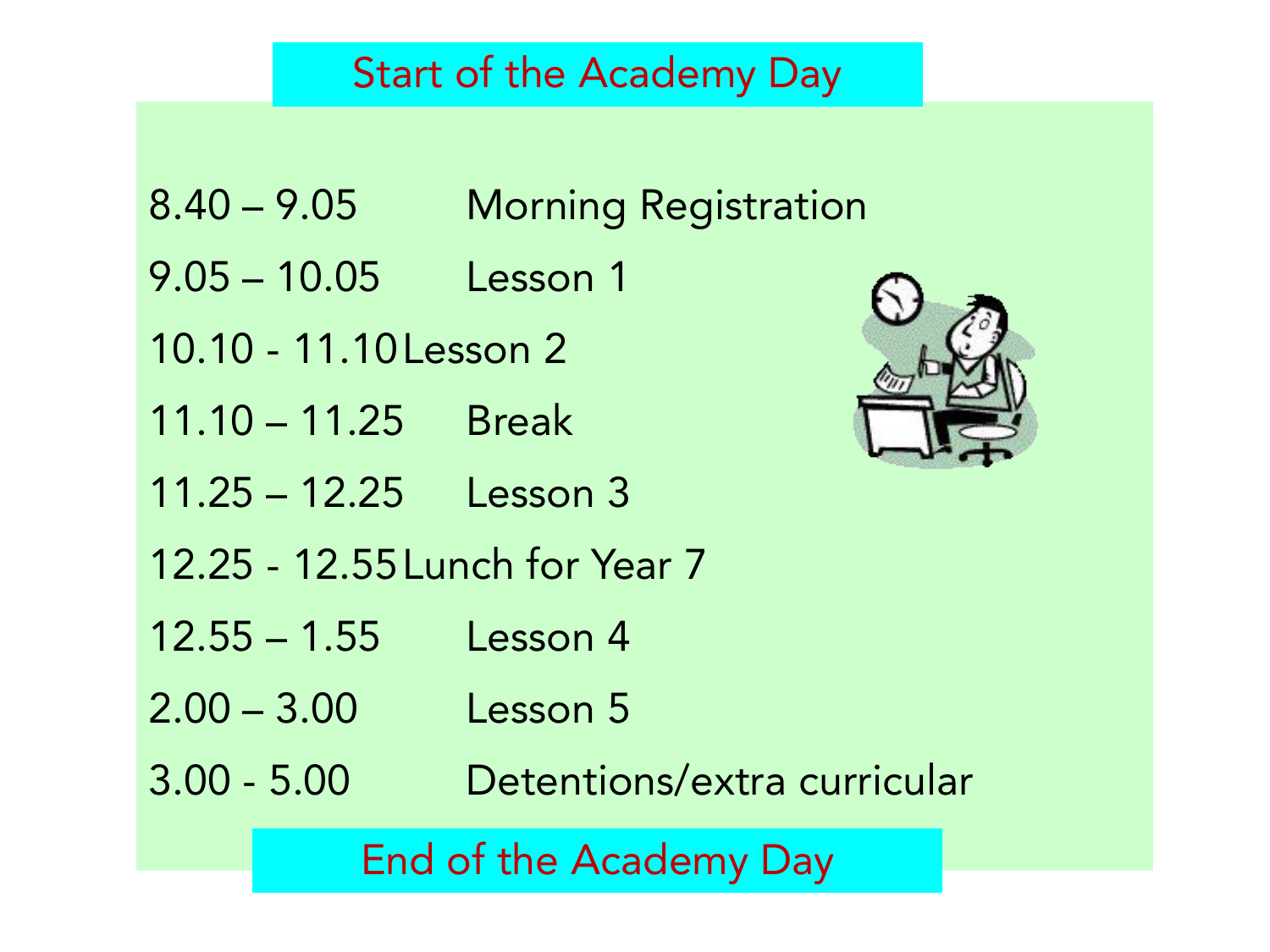#### Start of the Academy Day

- 8.40 9.05 Morning Registration
- 9.05 10.05 Lesson 1
- 10.10 11.10Lesson 2
- 11.10 11.25 Break
- 11.25 12.25 Lesson 3
- 12.25 12.55Lunch for Year 7
- 12.55 1.55 Lesson 4
- 2.00 3.00 Lesson 5
- 3.00 5.00 Detentions/extra curricular

End of the Academy Day

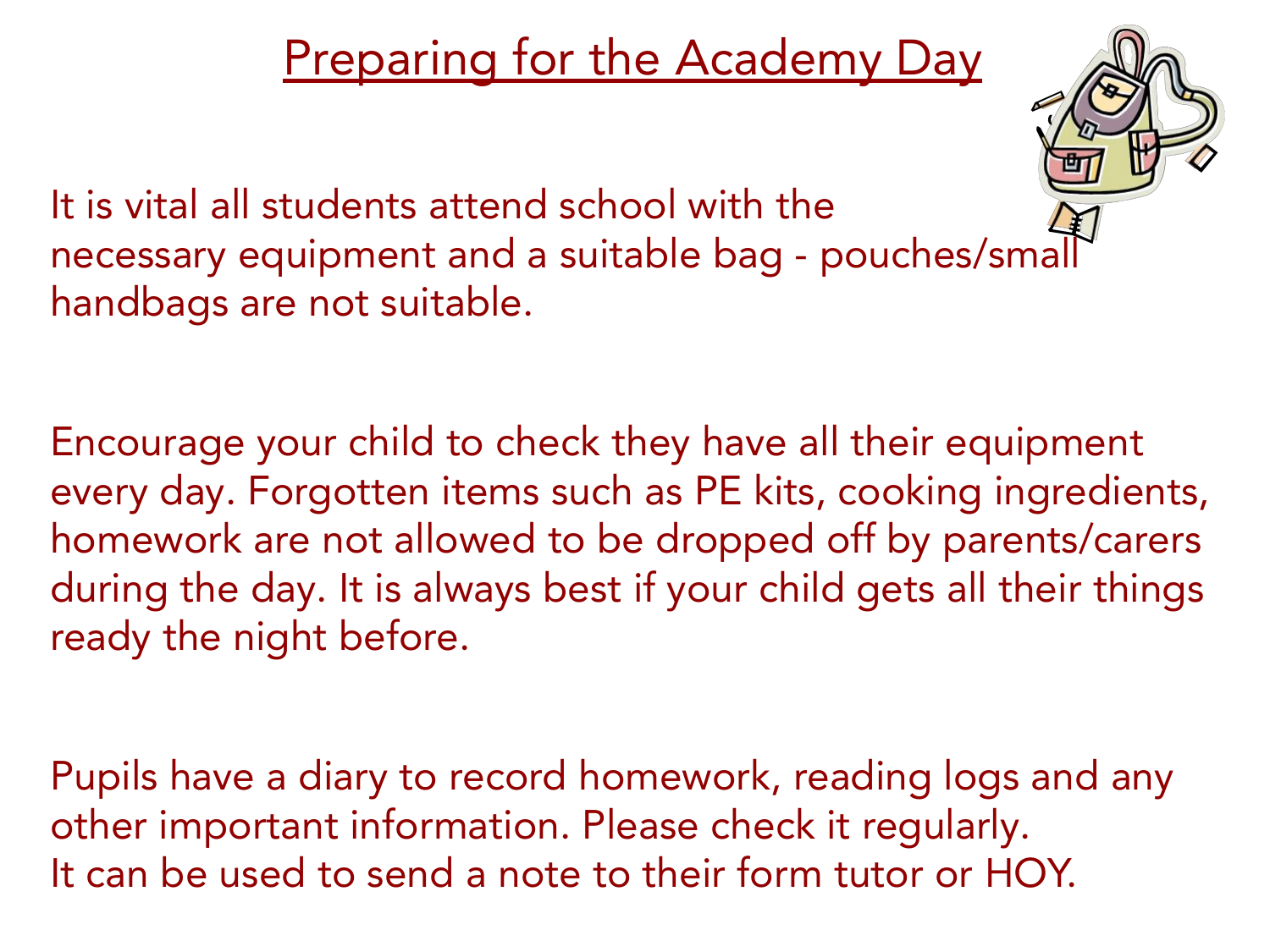#### Preparing for the Academy Day



It is vital all students attend school with the necessary equipment and a suitable bag - pouches/small handbags are not suitable.

Encourage your child to check they have all their equipment every day. Forgotten items such as PE kits, cooking ingredients, homework are not allowed to be dropped off by parents/carers during the day. It is always best if your child gets all their things ready the night before.

Pupils have a diary to record homework, reading logs and any other important information. Please check it regularly. It can be used to send a note to their form tutor or HOY.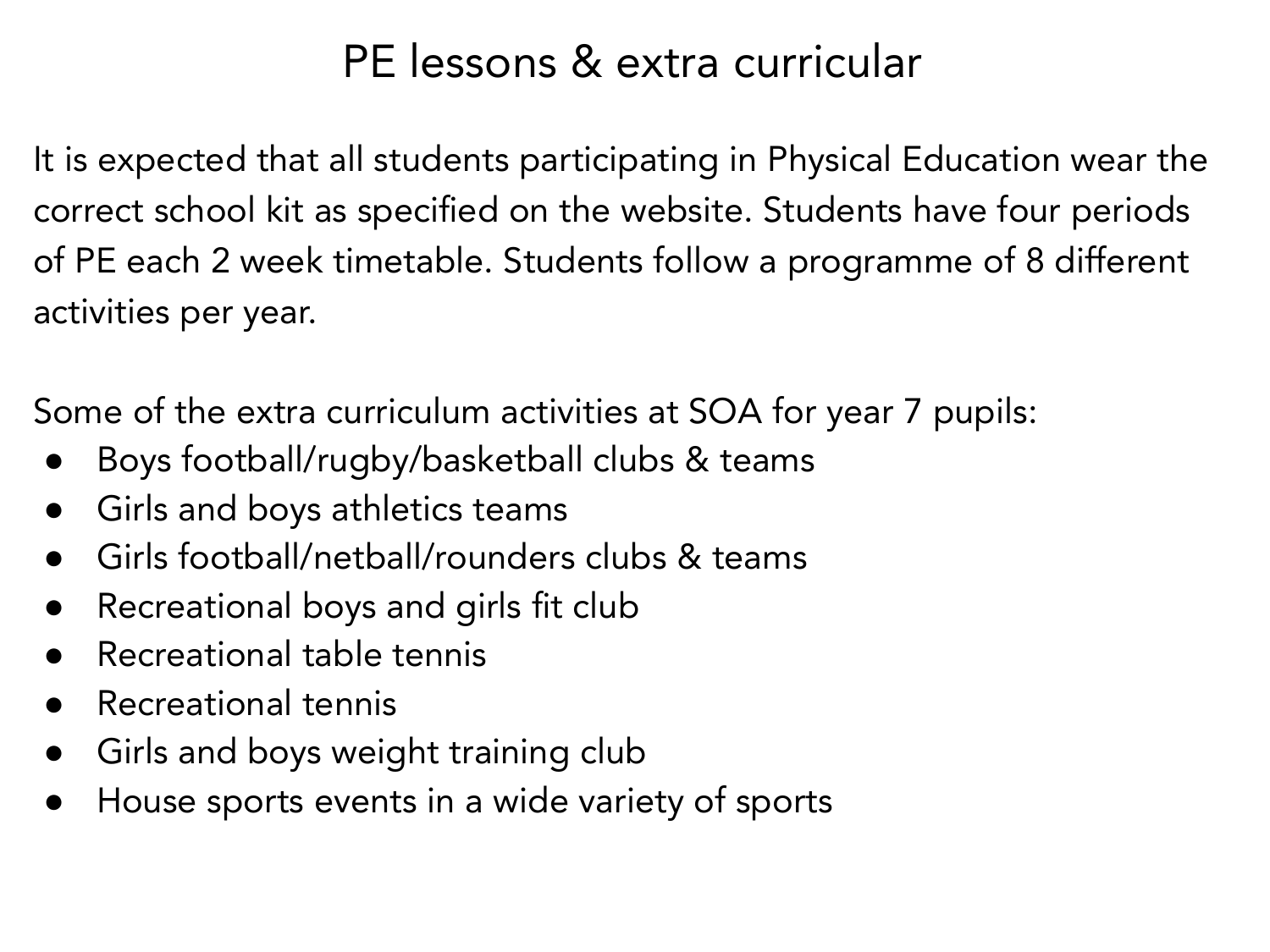#### PE lessons & extra curricular

It is expected that all students participating in Physical Education wear the correct school kit as specified on the website. Students have four periods of PE each 2 week timetable. Students follow a programme of 8 different activities per year.

Some of the extra curriculum activities at SOA for year 7 pupils:

- Boys football/rugby/basketball clubs & teams
- Girls and boys athletics teams
- Girls football/netball/rounders clubs & teams
- Recreational boys and girls fit club
- Recreational table tennis
- Recreational tennis
- Girls and boys weight training club
- House sports events in a wide variety of sports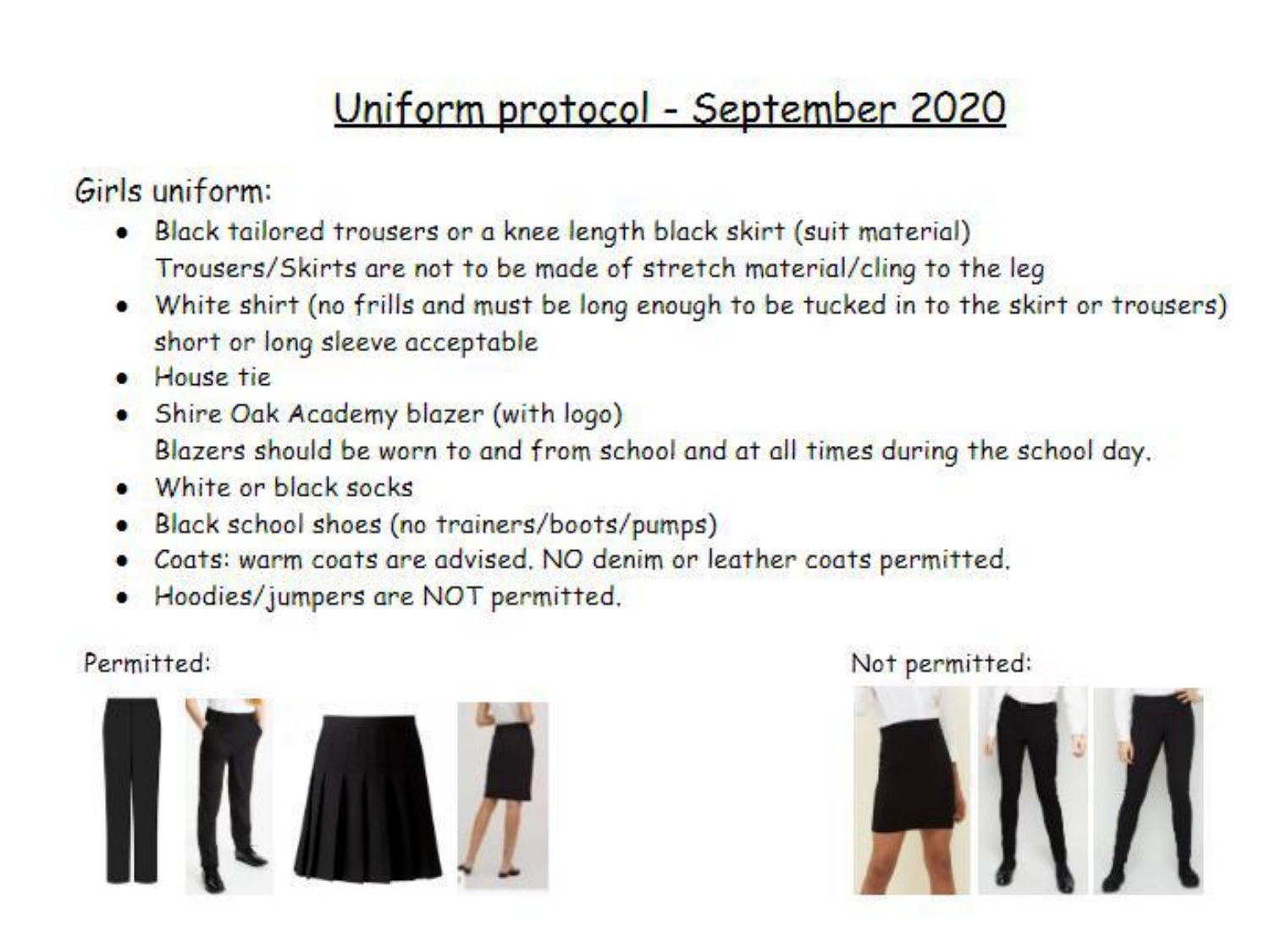### Uniform protocol - September 2020

Girls uniform:

- . Black tailored trousers or a knee length black skirt (suit material) Trousers/Skirts are not to be made of stretch material/cling to the leg
- . White shirt (no frills and must be long enough to be tucked in to the skirt or trousers) short or long sleeve acceptable
- · House tie
- Shire Oak Academy blazer (with logo) Blazers should be worn to and from school and at all times during the school day.
- White or black socks
- Black school shoes (no trainers/boots/pumps)
- Coats: warm coats are advised. NO denim or leather coats permitted.
- Hoodies/jumpers are NOT permitted.

#### Permitted:



#### Not permitted:

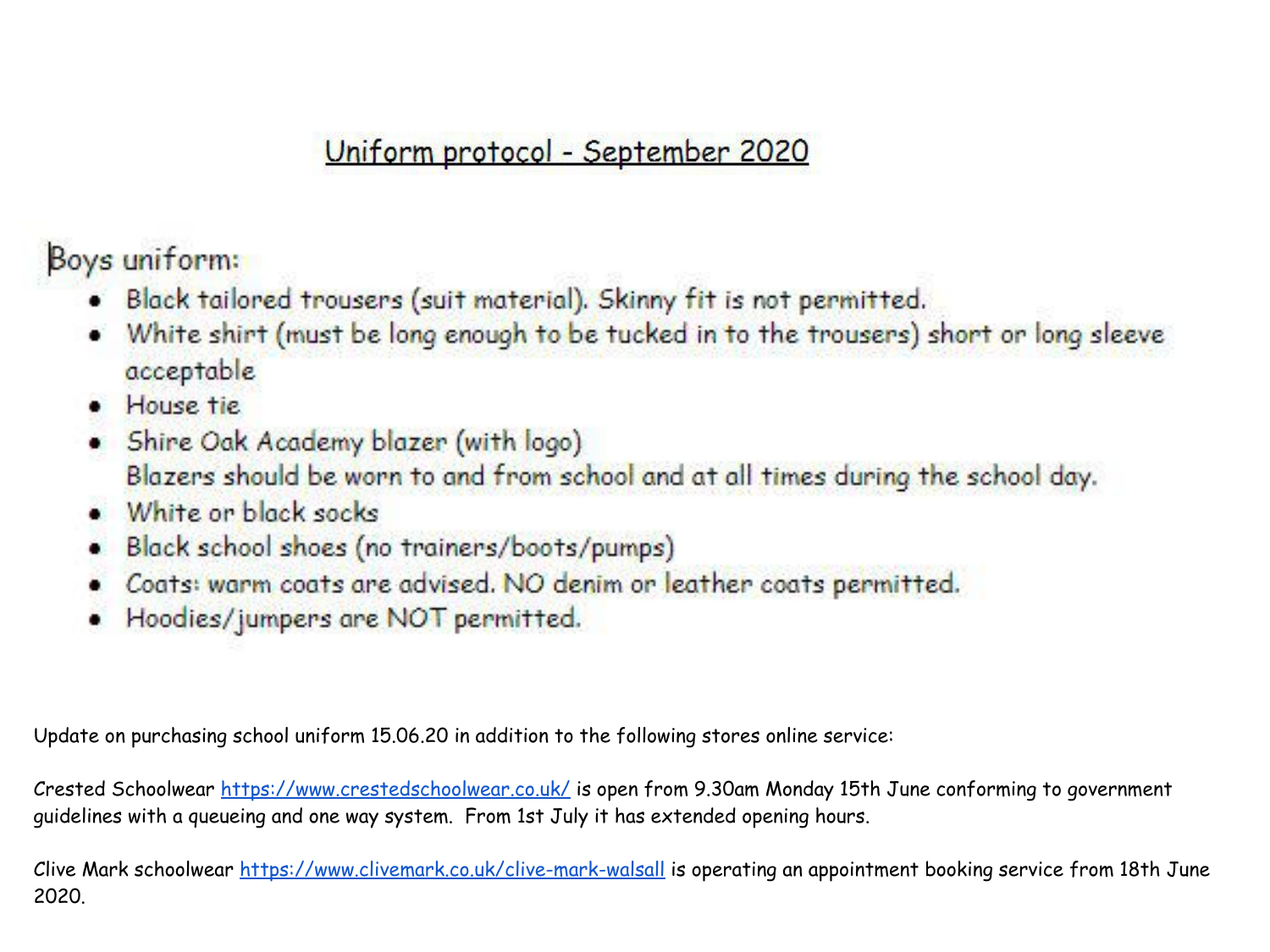#### Uniform protocol - September 2020

Boys uniform:

- . Black tailored trousers (suit material). Skinny fit is not permitted.
- White shirt (must be long enough to be tucked in to the trousers) short or long sleeve acceptable
- · House tie
- Shire Oak Academy blazer (with logo) Blazers should be worn to and from school and at all times during the school day.
- $\bullet$  White or block socks
- Black school shoes (no trainers/boots/pumps)
- Coats: warm coats are advised. NO denim or leather coats permitted.
- Hoodies/jumpers are NOT permitted.

Update on purchasing school uniform 15.06.20 in addition to the following stores online service:

Crested Schoolwear<https://www.crestedschoolwear.co.uk/> is open from 9.30am Monday 15th June conforming to government guidelines with a queueing and one way system. From 1st July it has extended opening hours.

Clive Mark schoolwear <https://www.clivemark.co.uk/clive-mark-walsall> is operating an appointment booking service from 18th June 2020.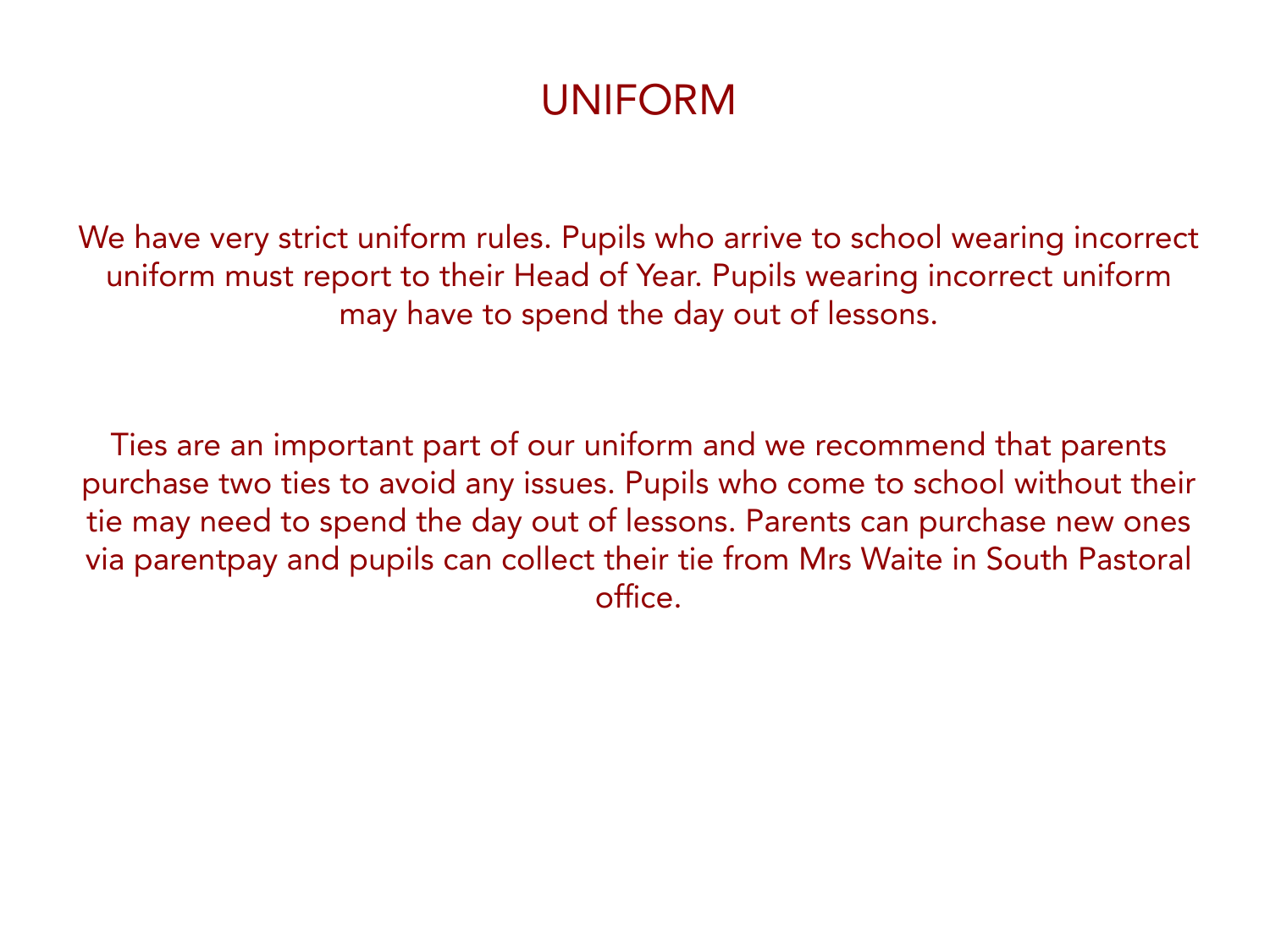#### UNIFORM

We have very strict uniform rules. Pupils who arrive to school wearing incorrect uniform must report to their Head of Year. Pupils wearing incorrect uniform may have to spend the day out of lessons.

Ties are an important part of our uniform and we recommend that parents purchase two ties to avoid any issues. Pupils who come to school without their tie may need to spend the day out of lessons. Parents can purchase new ones via parentpay and pupils can collect their tie from Mrs Waite in South Pastoral office.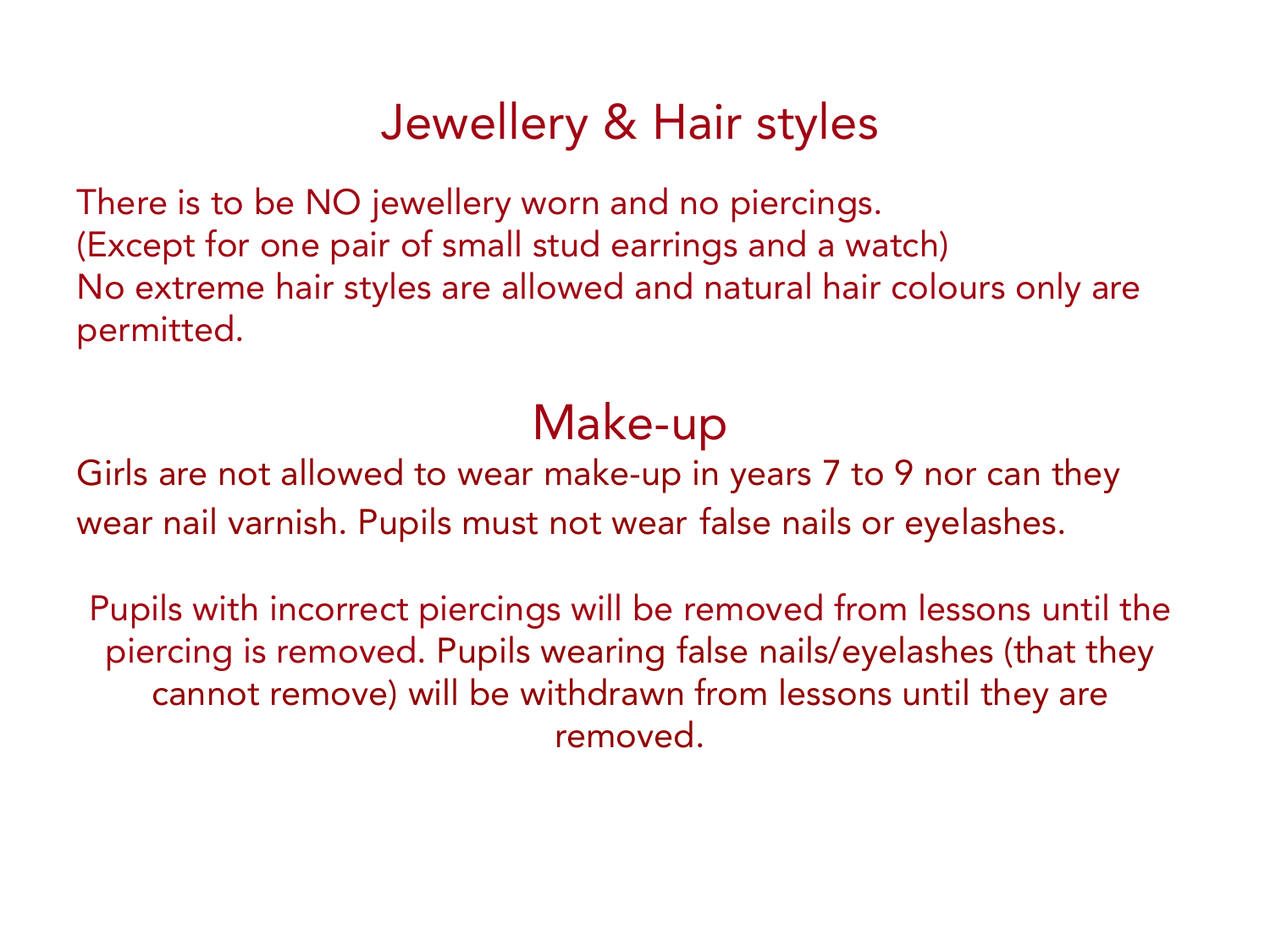### Jewellery & Hair styles

There is to be NO jewellery worn and no piercings. (Except for one pair of small stud earrings and a watch) No extreme hair styles are allowed and natural hair colours only are permitted.

### Make-up

Girls are not allowed to wear make-up in years 7 to 9 nor can they wear nail varnish. Pupils must not wear false nails or eyelashes.

Pupils with incorrect piercings will be removed from lessons until the piercing is removed. Pupils wearing false nails/eyelashes (that they cannot remove) will be withdrawn from lessons until they are removed.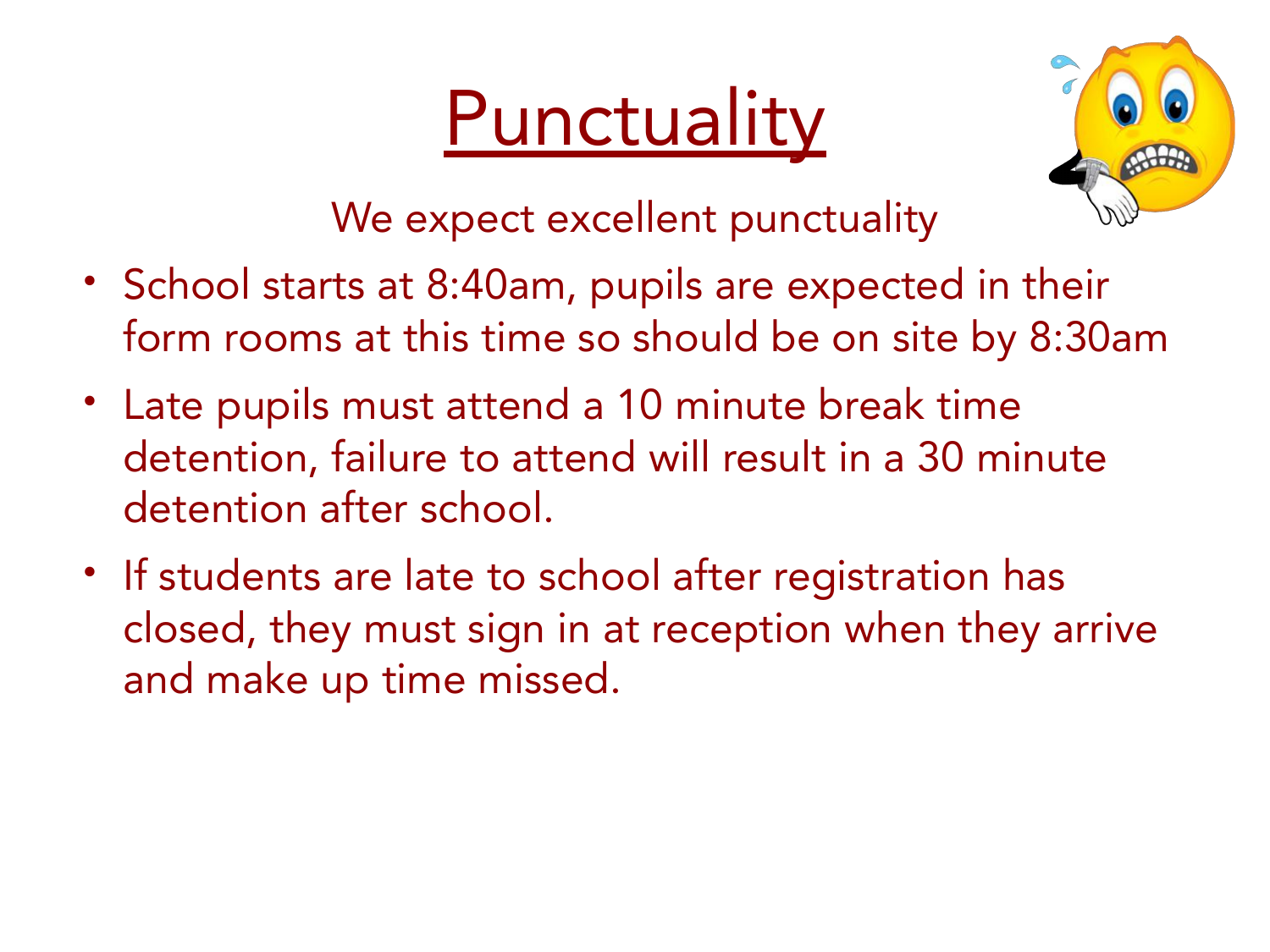## **Punctuality**



We expect excellent punctuality

- School starts at 8:40am, pupils are expected in their form rooms at this time so should be on site by 8:30am
- Late pupils must attend a 10 minute break time detention, failure to attend will result in a 30 minute detention after school.
- If students are late to school after registration has closed, they must sign in at reception when they arrive and make up time missed.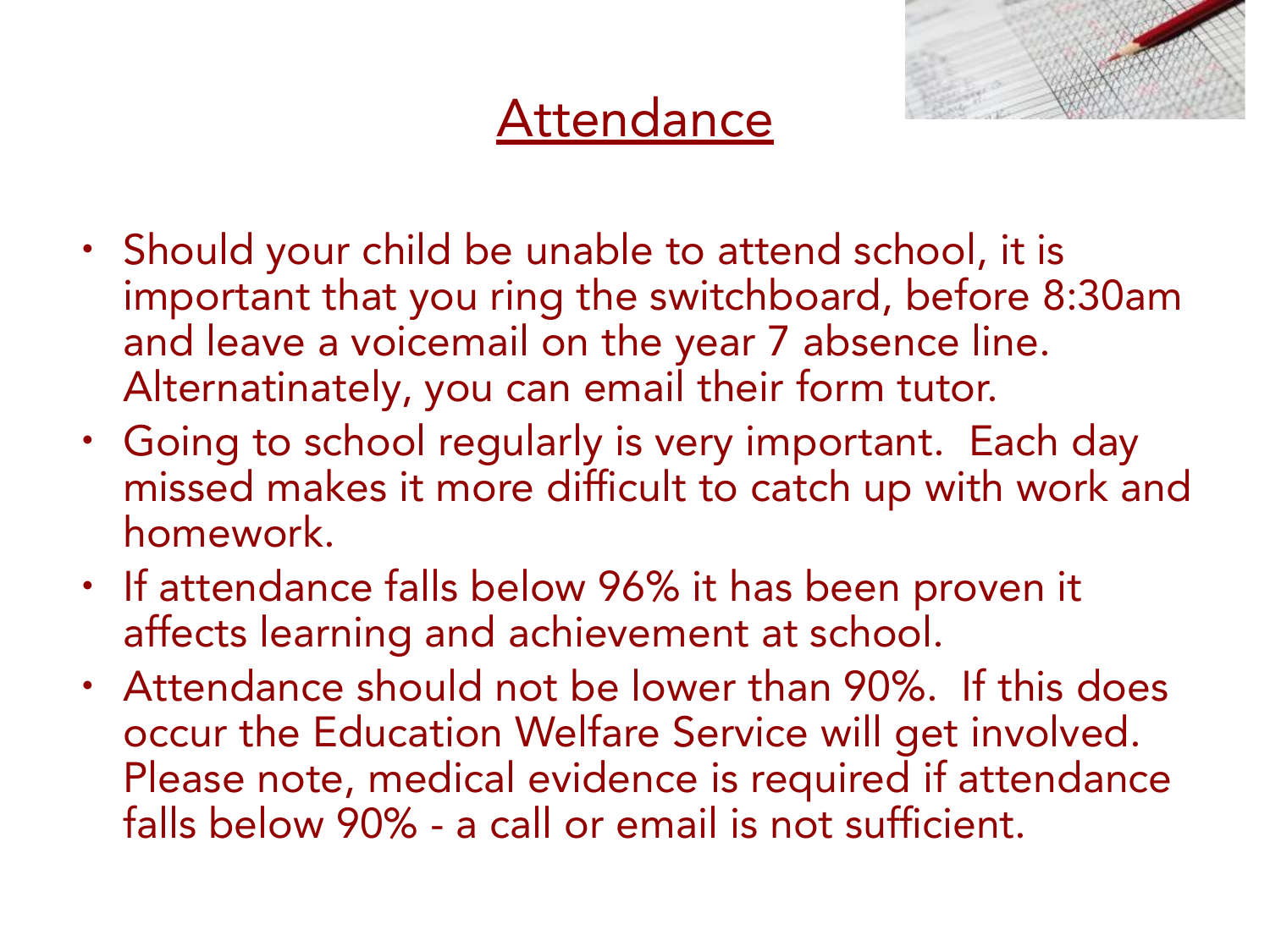### **Attendance**

- Should your child be unable to attend school, it is important that you ring the switchboard, before 8:30am and leave a voicemail on the year 7 absence line. Alternatinately, you can email their form tutor.
- Going to school regularly is very important. Each day missed makes it more difficult to catch up with work and homework.
- If attendance falls below 96% it has been proven it affects learning and achievement at school.
- Attendance should not be lower than 90%. If this does occur the Education Welfare Service will get involved. Please note, medical evidence is required if attendance falls below 90% - a call or email is not sufficient.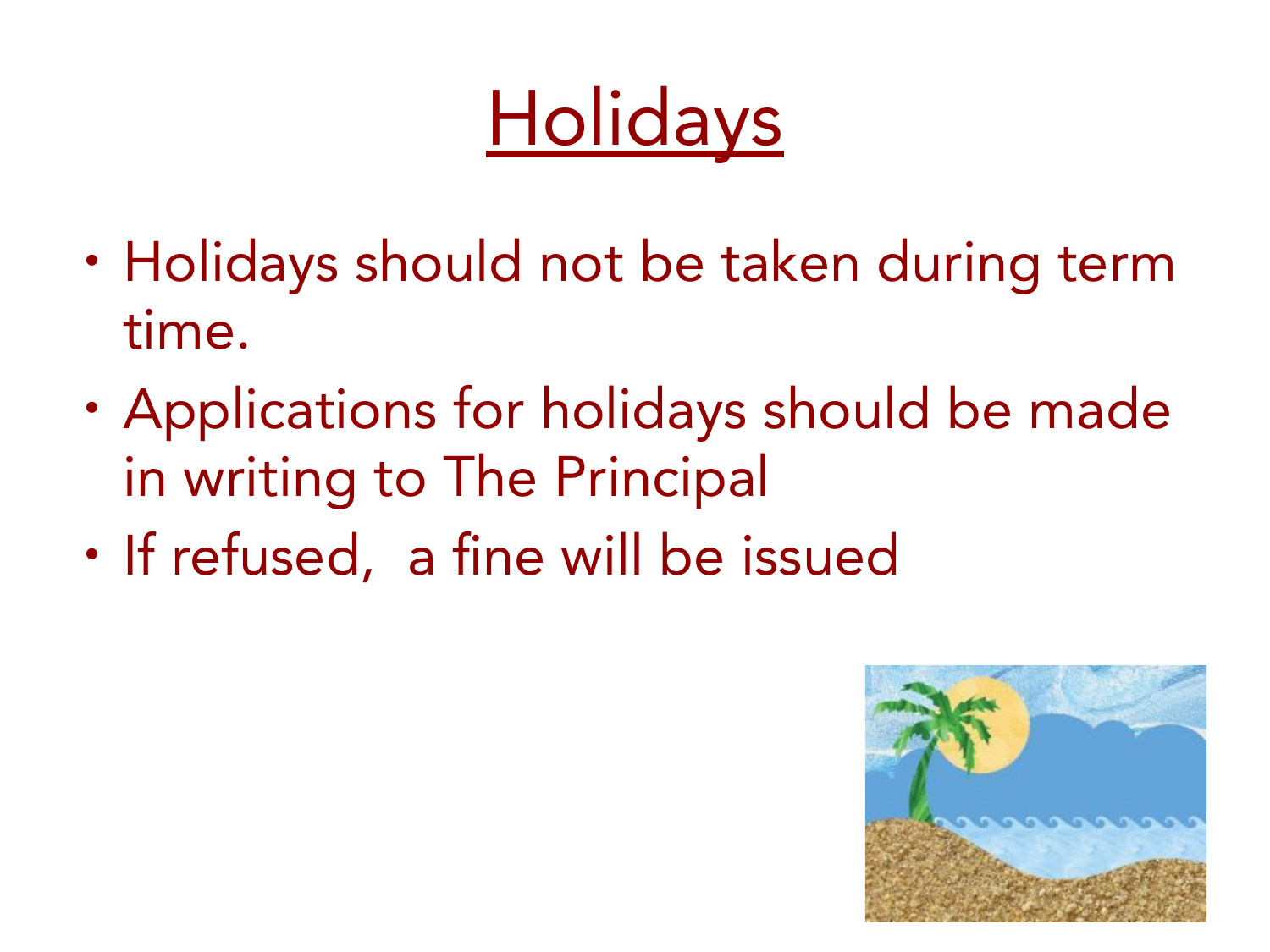## **Holidays**

- Holidays should not be taken during term time.
- Applications for holidays should be made in writing to The Principal
- If refused, a fine will be issued

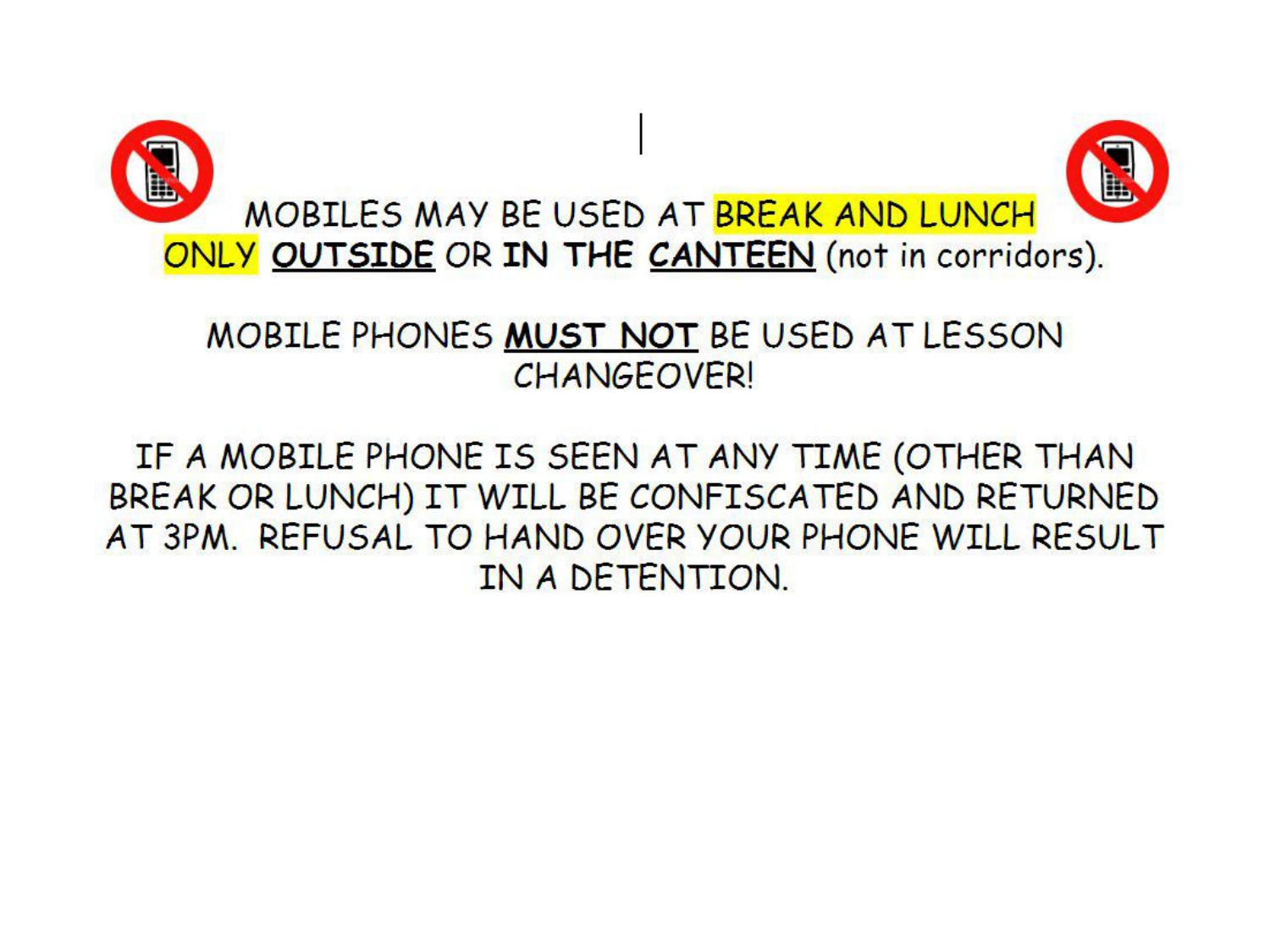

#### MOBILE PHONES MUST NOT BE USED AT LESSON **CHANGEOVER!**

#### IF A MOBILE PHONE IS SEEN AT ANY TIME (OTHER THAN BREAK OR LUNCH) IT WILL BE CONFISCATED AND RETURNED AT 3PM. REFUSAL TO HAND OVER YOUR PHONE WILL RESULT IN A DETENTION.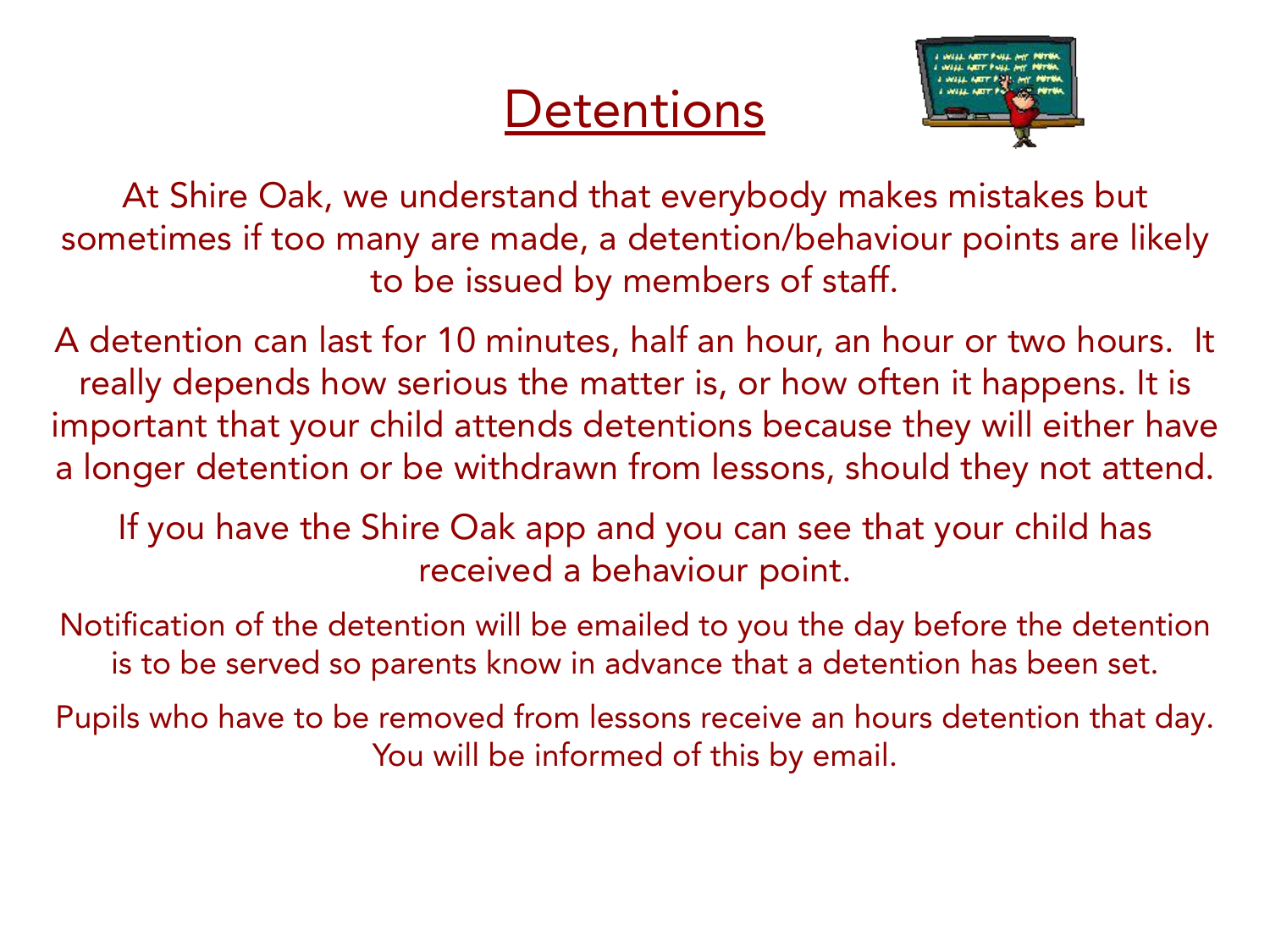### **Detentions**



At Shire Oak, we understand that everybody makes mistakes but sometimes if too many are made, a detention/behaviour points are likely to be issued by members of staff.

A detention can last for 10 minutes, half an hour, an hour or two hours. It really depends how serious the matter is, or how often it happens. It is important that your child attends detentions because they will either have a longer detention or be withdrawn from lessons, should they not attend.

If you have the Shire Oak app and you can see that your child has received a behaviour point.

Notification of the detention will be emailed to you the day before the detention is to be served so parents know in advance that a detention has been set.

Pupils who have to be removed from lessons receive an hours detention that day. You will be informed of this by email.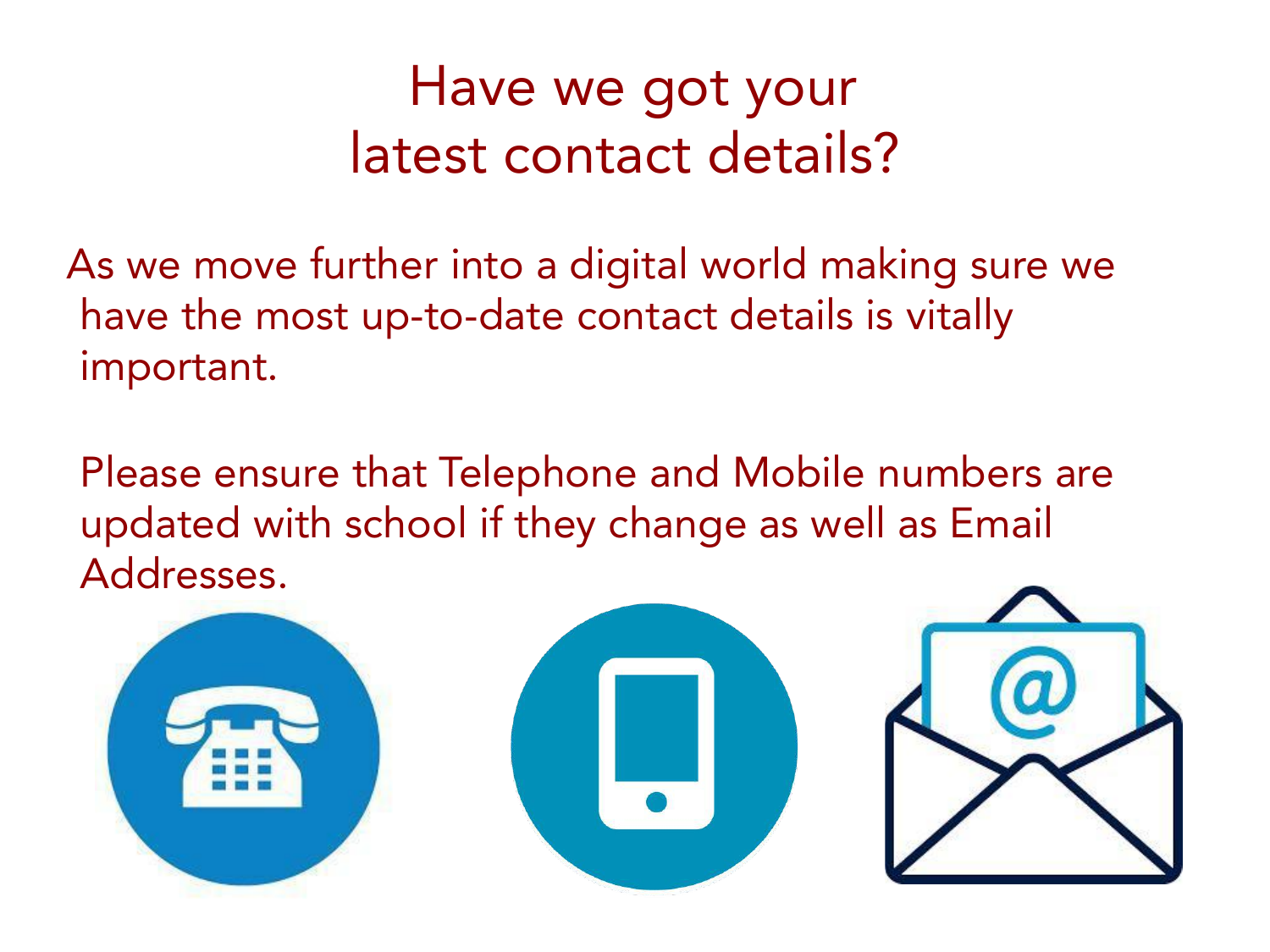### Have we got your latest contact details?

As we move further into a digital world making sure we have the most up-to-date contact details is vitally important.

Please ensure that Telephone and Mobile numbers are updated with school if they change as well as Email Addresses.

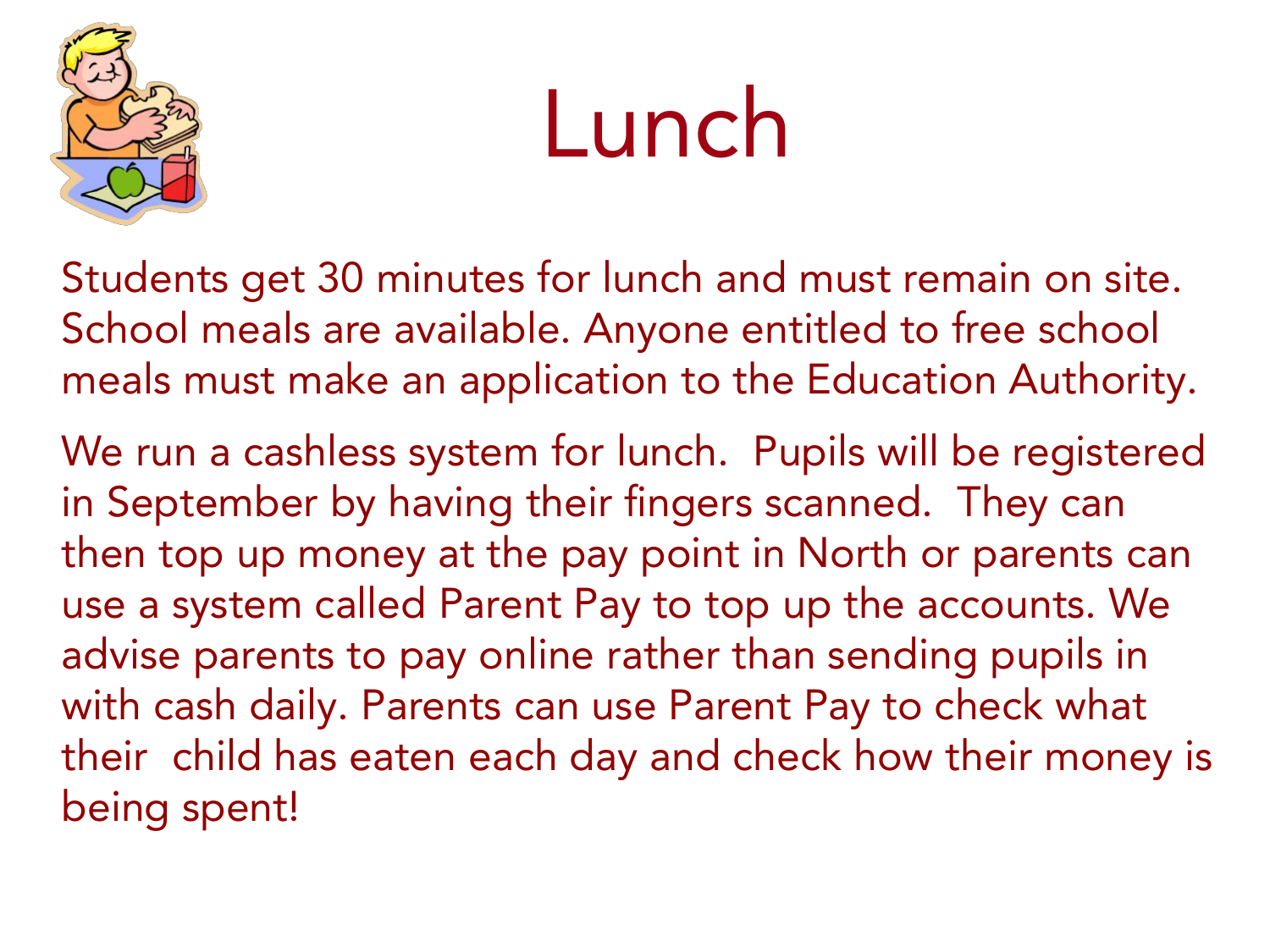

## Lunch

Students get 30 minutes for lunch and must remain on site. School meals are available. Anyone entitled to free school meals must make an application to the Education Authority.

We run a cashless system for lunch. Pupils will be registered in September by having their fingers scanned. They can then top up money at the pay point in North or parents can use a system called Parent Pay to top up the accounts. We advise parents to pay online rather than sending pupils in with cash daily. Parents can use Parent Pay to check what their child has eaten each day and check how their money is being spent!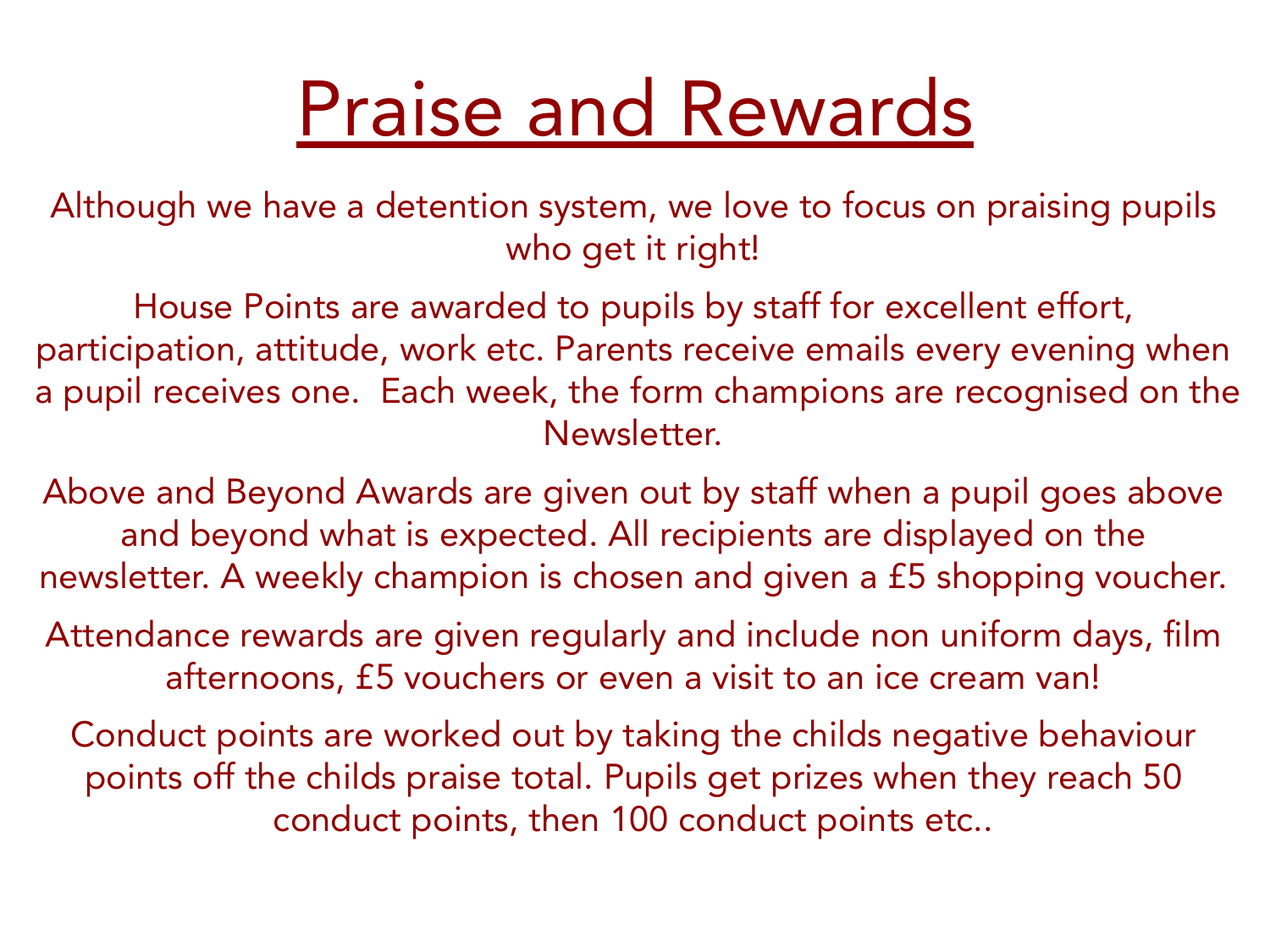## Praise and Rewards

Although we have a detention system, we love to focus on praising pupils who get it right!

House Points are awarded to pupils by staff for excellent effort, participation, attitude, work etc. Parents receive emails every evening when a pupil receives one. Each week, the form champions are recognised on the Newsletter.

Above and Beyond Awards are given out by staff when a pupil goes above and beyond what is expected. All recipients are displayed on the newsletter. A weekly champion is chosen and given a £5 shopping voucher.

Attendance rewards are given regularly and include non uniform days, film afternoons, £5 vouchers or even a visit to an ice cream van!

Conduct points are worked out by taking the childs negative behaviour points off the childs praise total. Pupils get prizes when they reach 50 conduct points, then 100 conduct points etc..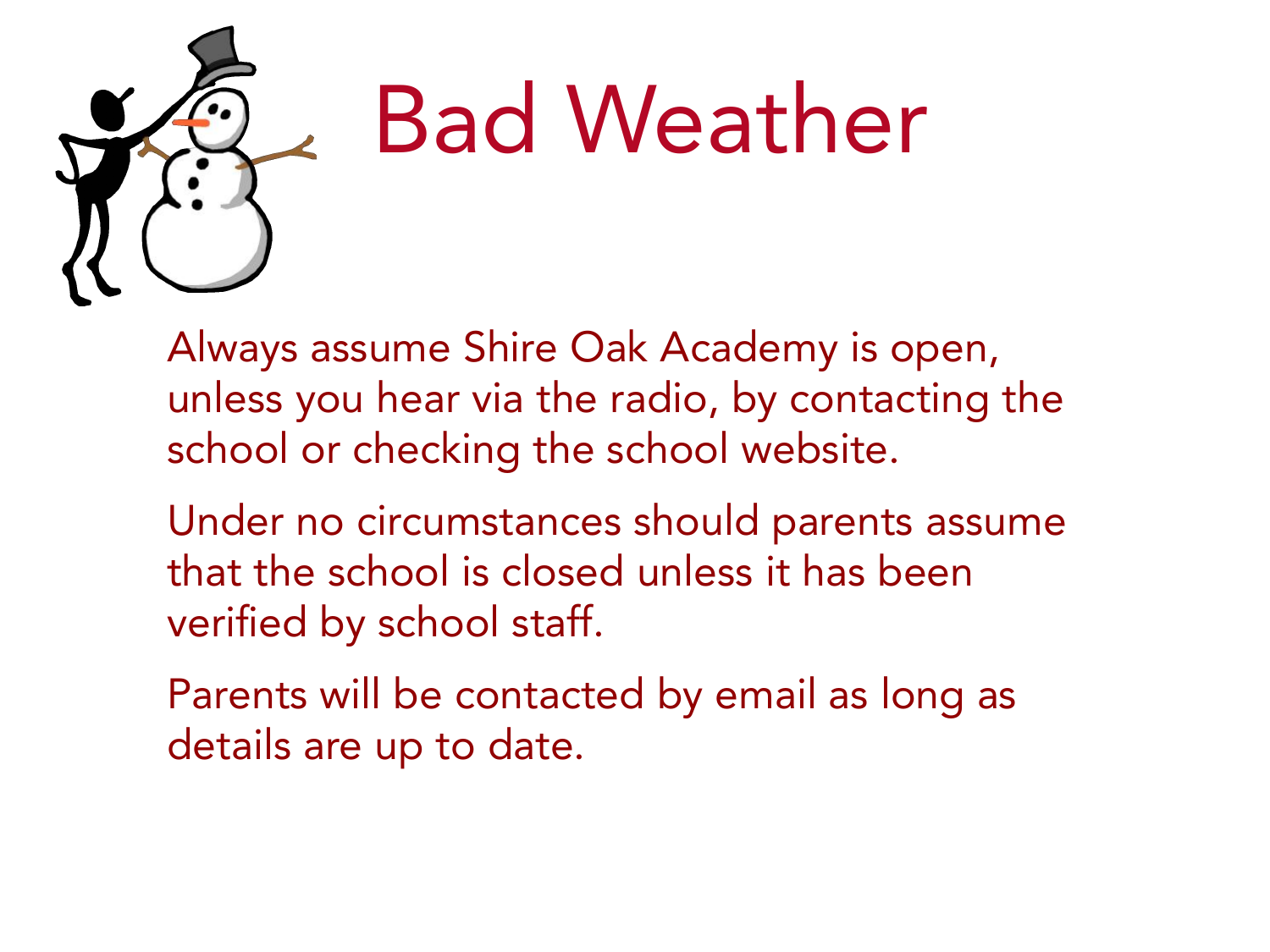

## Bad Weather

Always assume Shire Oak Academy is open, unless you hear via the radio, by contacting the school or checking the school website.

Under no circumstances should parents assume that the school is closed unless it has been verified by school staff.

Parents will be contacted by email as long as details are up to date.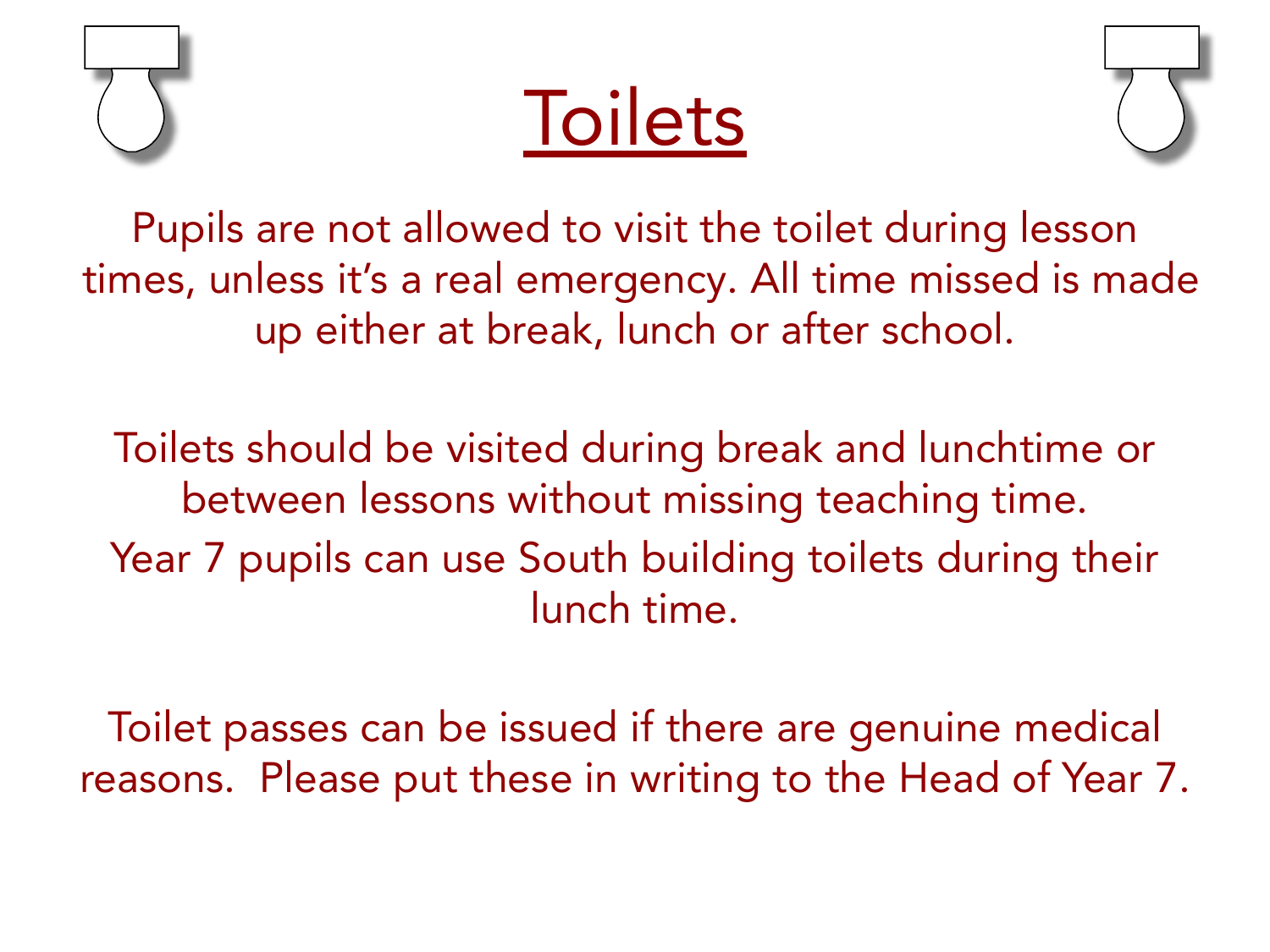





Pupils are not allowed to visit the toilet during lesson times, unless it's a real emergency. All time missed is made up either at break, lunch or after school.

Toilets should be visited during break and lunchtime or between lessons without missing teaching time. Year 7 pupils can use South building toilets during their lunch time.

Toilet passes can be issued if there are genuine medical reasons. Please put these in writing to the Head of Year 7.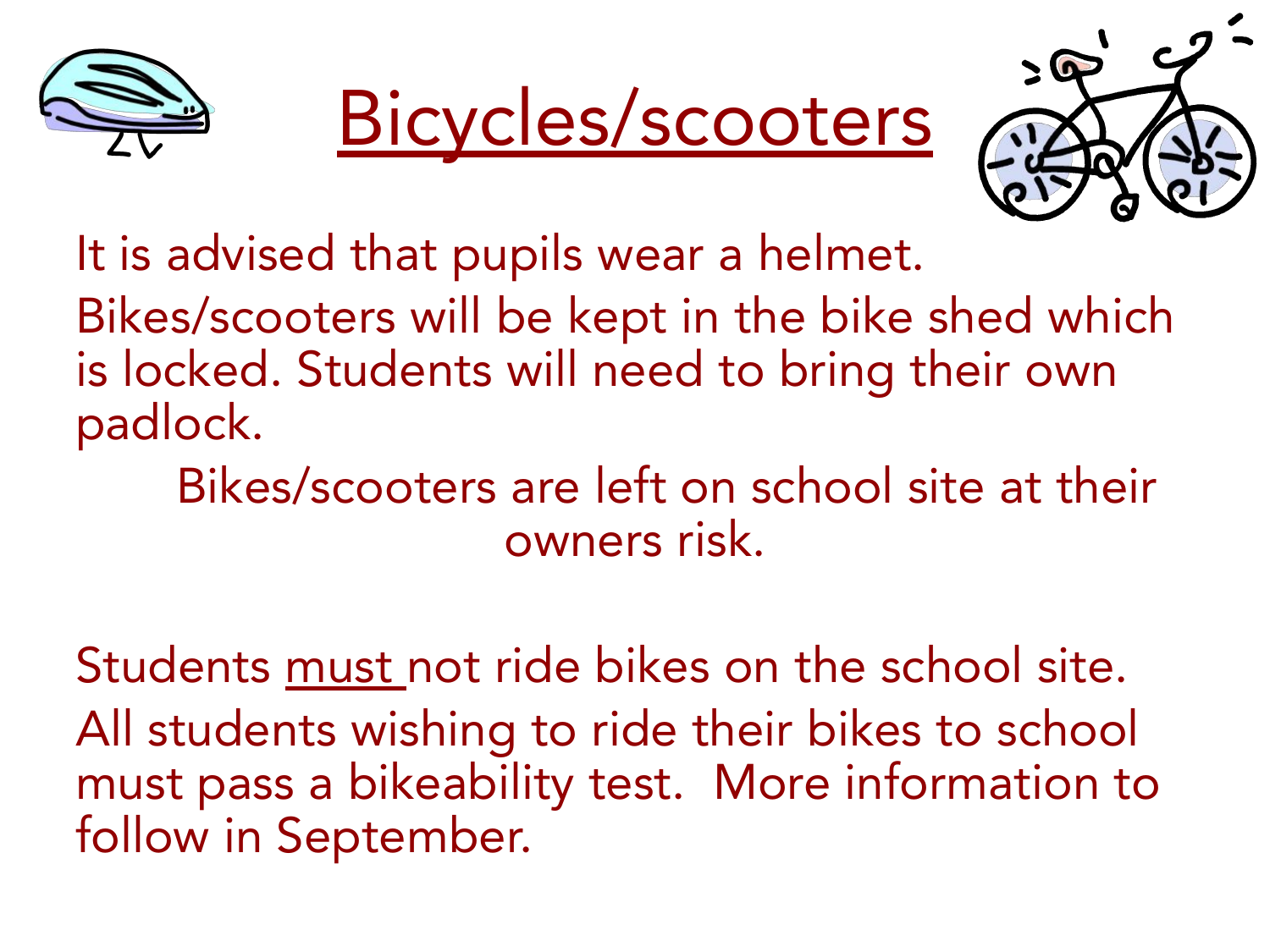





It is advised that pupils wear a helmet.

Bikes/scooters will be kept in the bike shed which is locked. Students will need to bring their own padlock.

Bikes/scooters are left on school site at their owners risk.

Students must not ride bikes on the school site. All students wishing to ride their bikes to school must pass a bikeability test. More information to follow in September.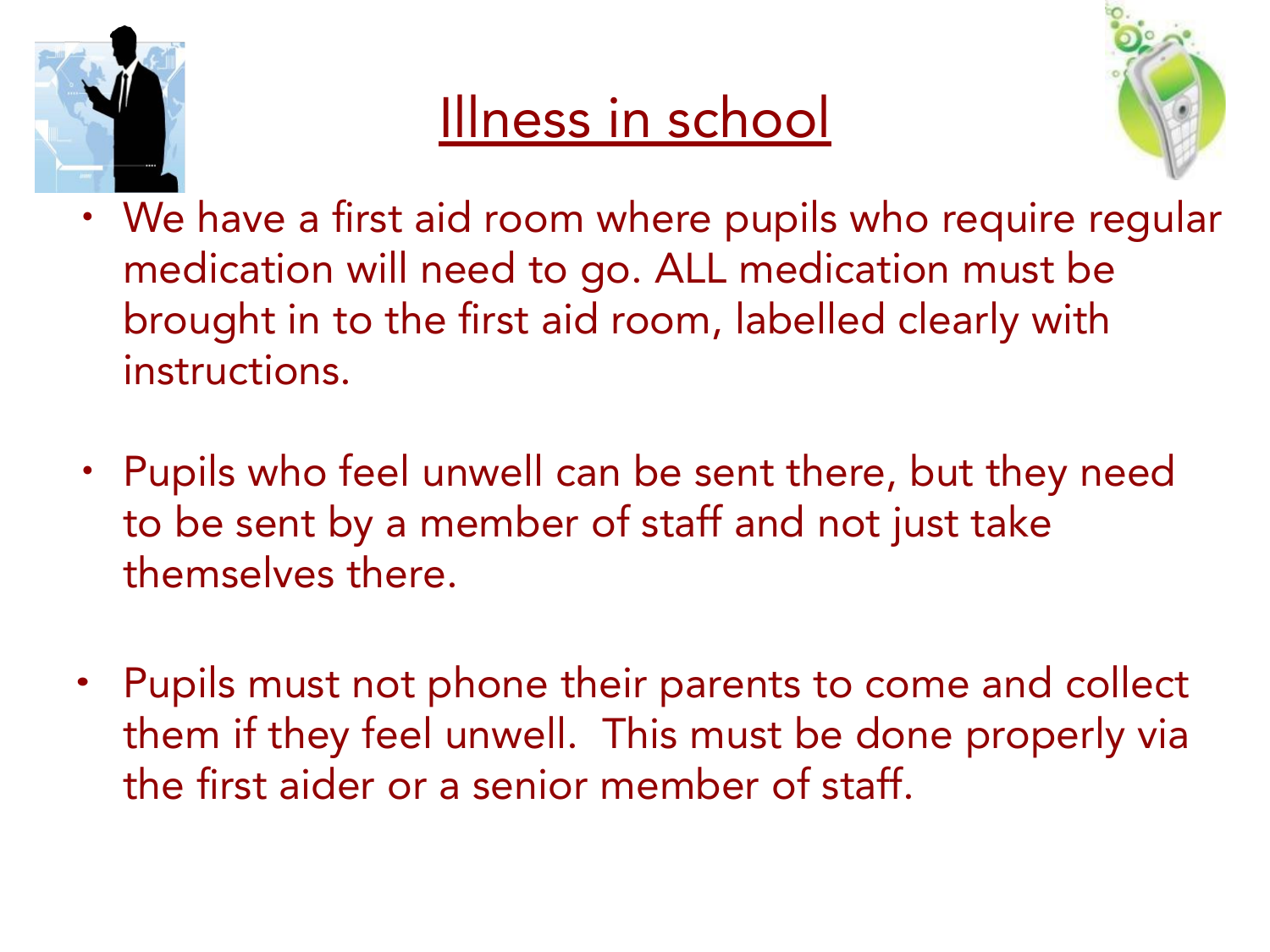

### Illness in school



- We have a first aid room where pupils who require regular medication will need to go. ALL medication must be brought in to the first aid room, labelled clearly with instructions.
- Pupils who feel unwell can be sent there, but they need to be sent by a member of staff and not just take themselves there.
- **•** Pupils must not phone their parents to come and collect them if they feel unwell. This must be done properly via the first aider or a senior member of staff.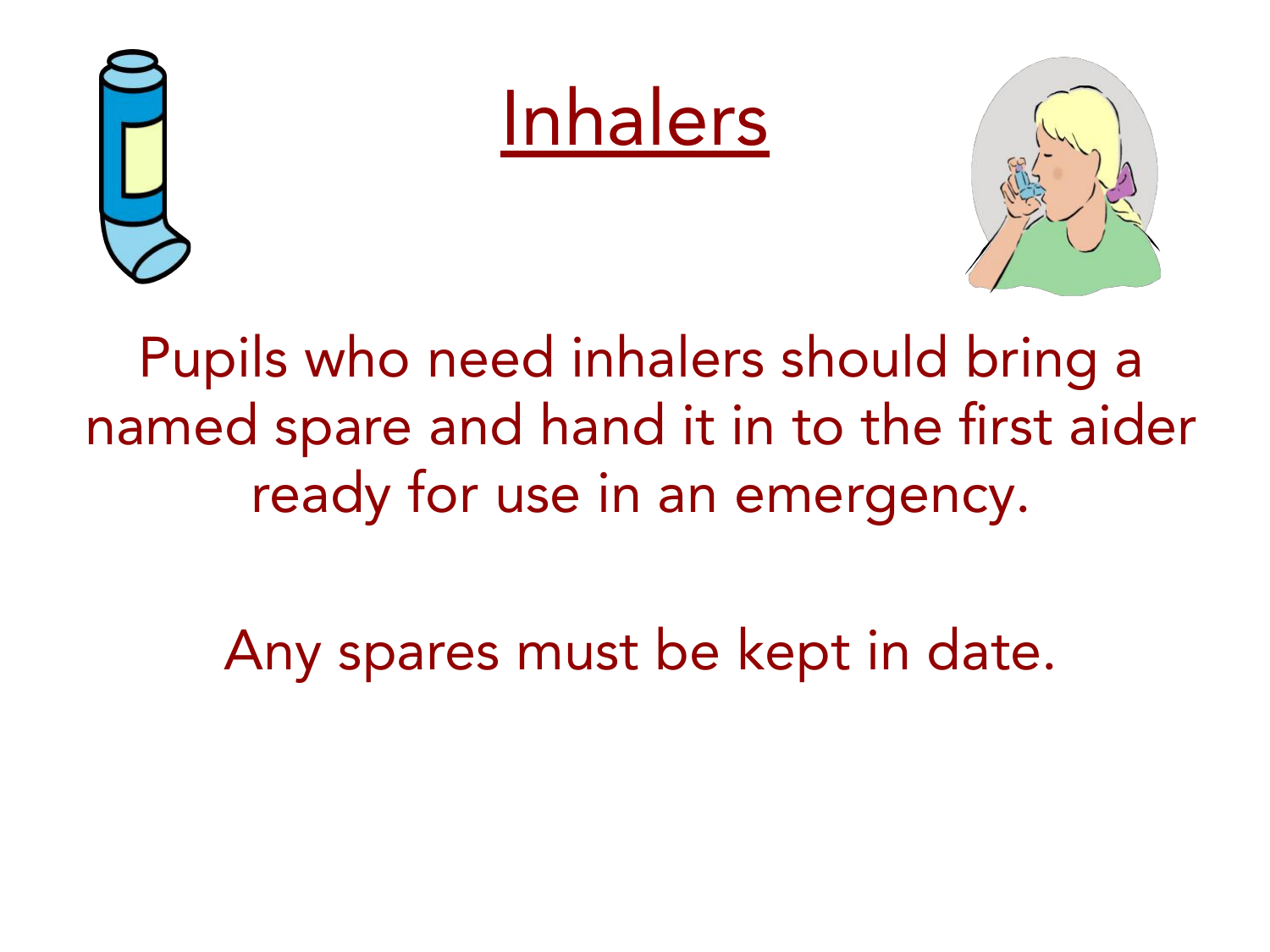





Pupils who need inhalers should bring a named spare and hand it in to the first aider ready for use in an emergency.

Any spares must be kept in date.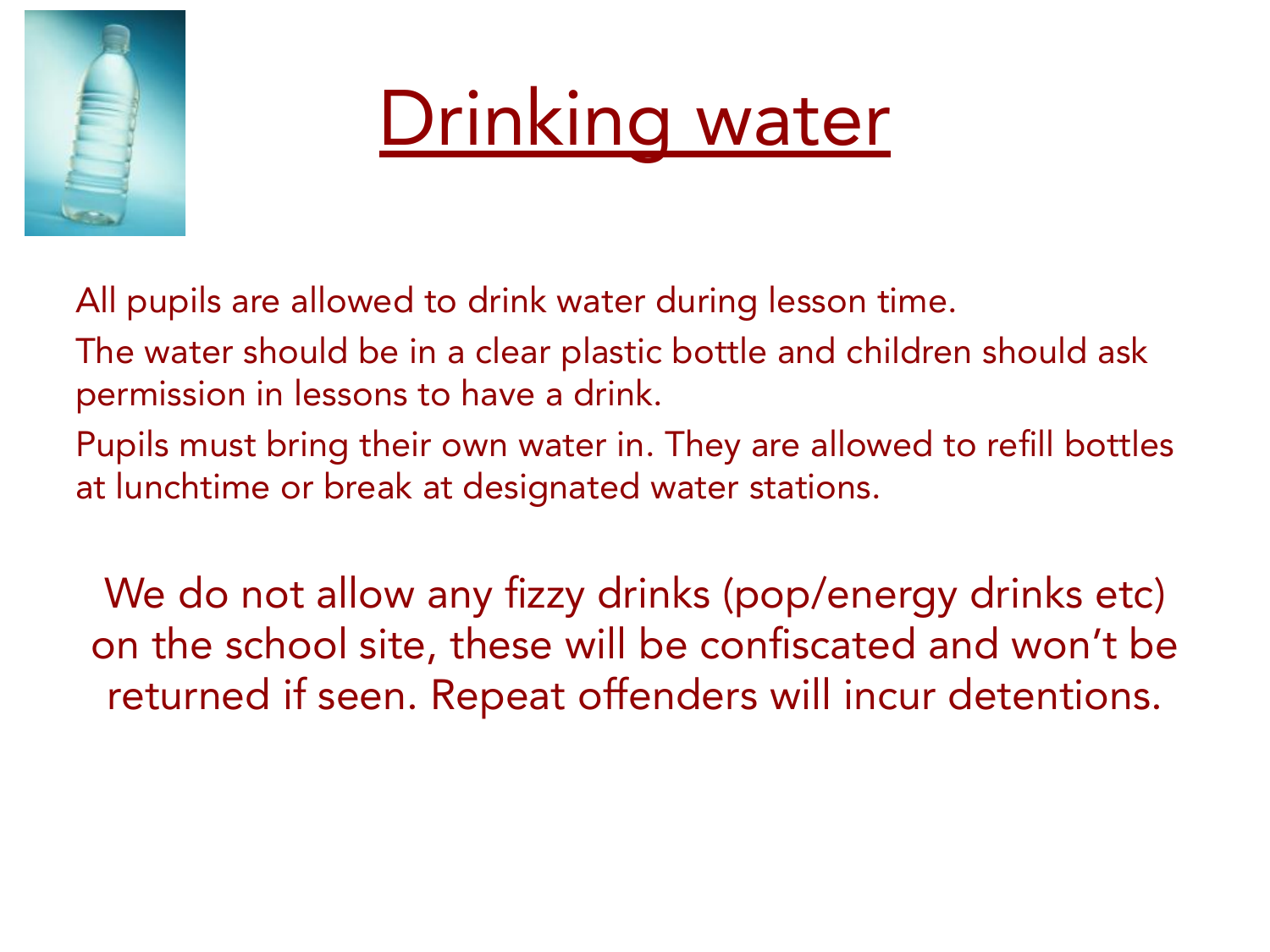



All pupils are allowed to drink water during lesson time.

The water should be in a clear plastic bottle and children should ask permission in lessons to have a drink.

Pupils must bring their own water in. They are allowed to refill bottles at lunchtime or break at designated water stations.

We do not allow any fizzy drinks (pop/energy drinks etc) on the school site, these will be confiscated and won't be returned if seen. Repeat offenders will incur detentions.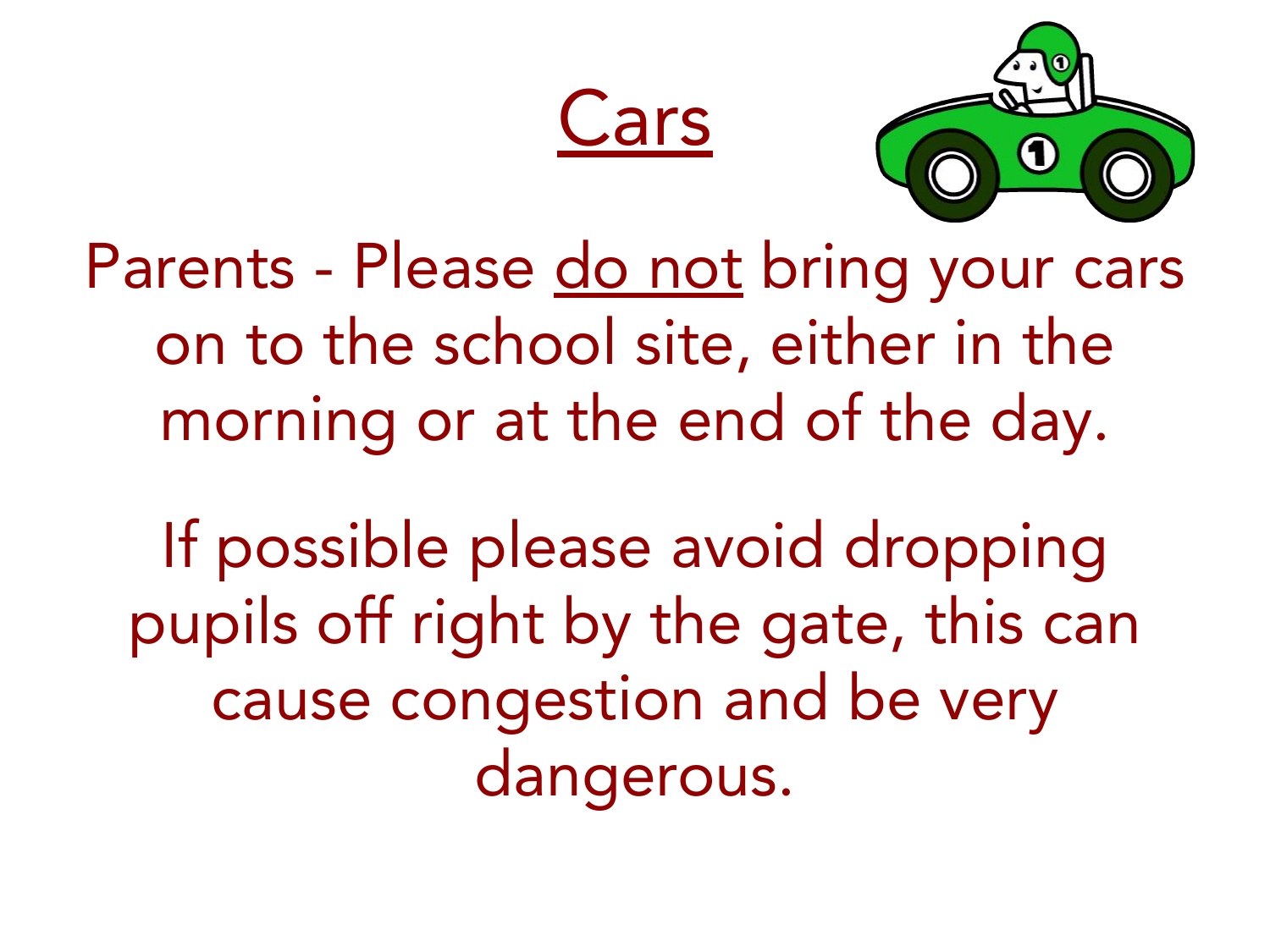



Parents - Please do not bring your cars on to the school site, either in the morning or at the end of the day.

If possible please avoid dropping pupils off right by the gate, this can cause congestion and be very dangerous.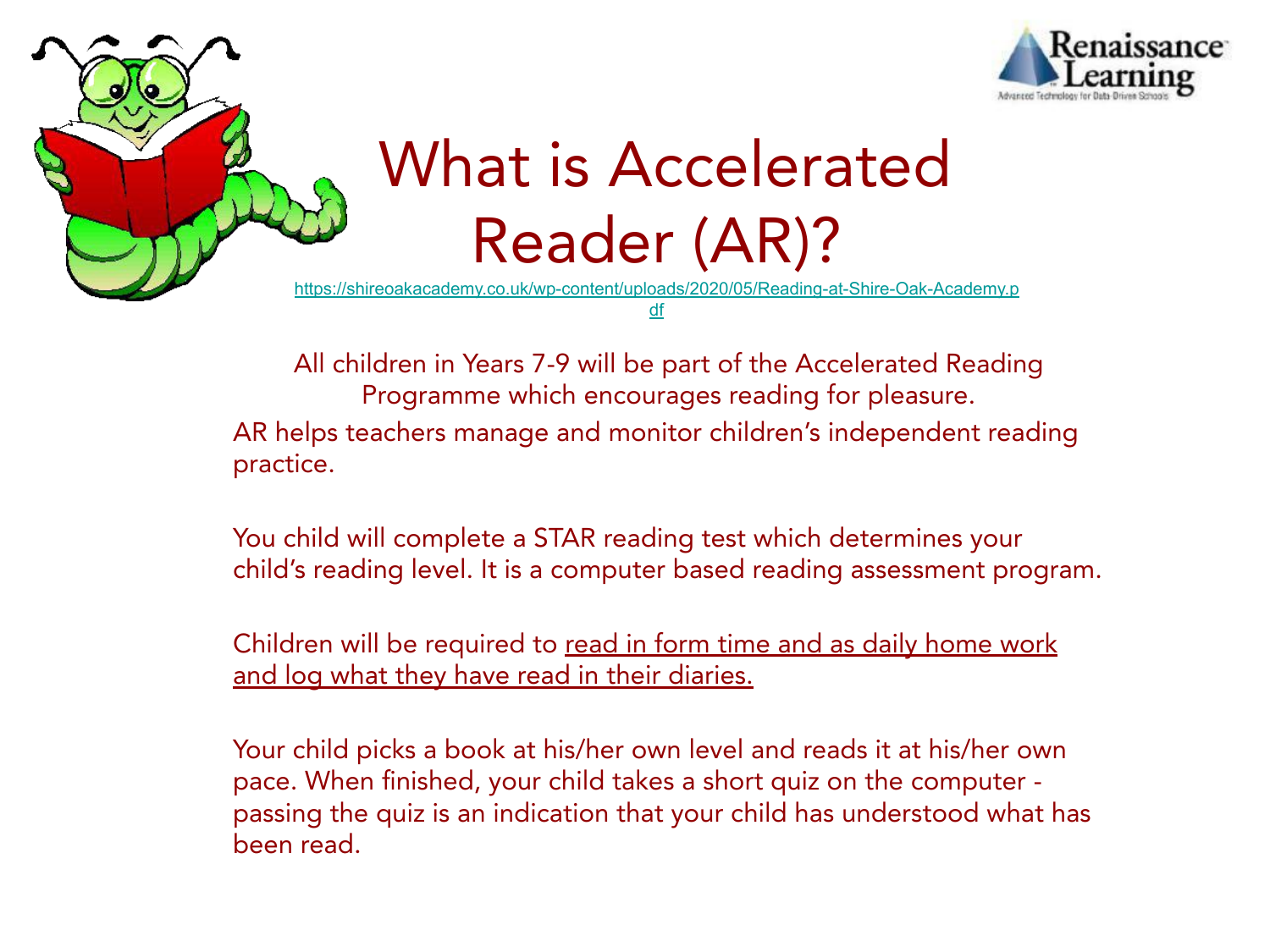



## What is Accelerated Reader (AR)?

[https://shireoakacademy.co.uk/wp-content/uploads/2020/05/Reading-at-Shire-Oak-Academy.p](https://shireoakacademy.co.uk/wp-content/uploads/2020/05/Reading-at-Shire-Oak-Academy.pdf)

[df](https://shireoakacademy.co.uk/wp-content/uploads/2020/05/Reading-at-Shire-Oak-Academy.pdf)

All children in Years 7-9 will be part of the Accelerated Reading Programme which encourages reading for pleasure. AR helps teachers manage and monitor children's independent reading practice.

You child will complete a STAR reading test which determines your child's reading level. It is a computer based reading assessment program.

Children will be required to read in form time and as daily home work and log what they have read in their diaries.

Your child picks a book at his/her own level and reads it at his/her own pace. When finished, your child takes a short quiz on the computer passing the quiz is an indication that your child has understood what has been read.